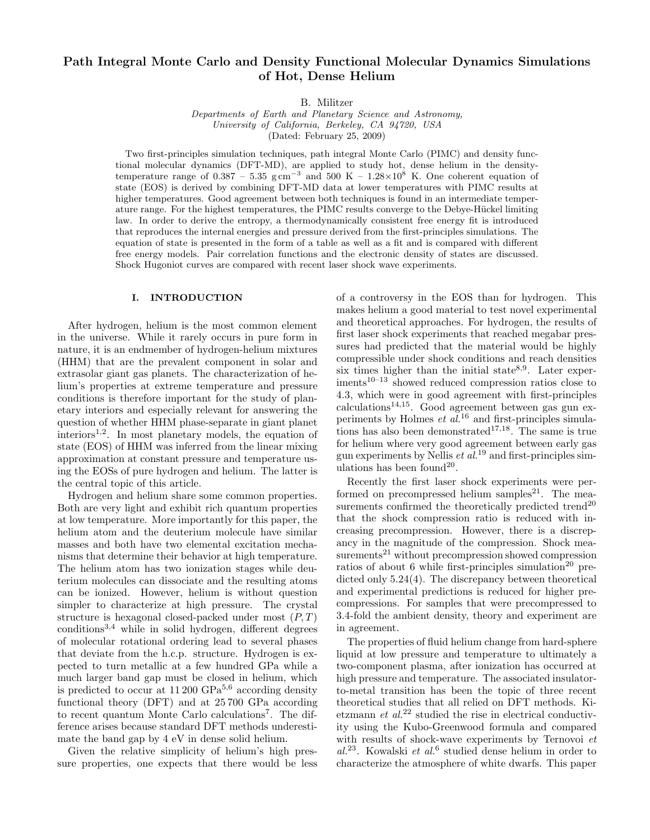# Path Integral Monte Carlo and Density Functional Molecular Dynamics Simulations of Hot, Dense Helium

B. Militzer

Departments of Earth and Planetary Science and Astronomy, University of California, Berkeley, CA 94720, USA (Dated: February 25, 2009)

Two first-principles simulation techniques, path integral Monte Carlo (PIMC) and density functional molecular dynamics (DFT-MD), are applied to study hot, dense helium in the densitytemperature range of 0.387 – 5.35  $g \text{ cm}^{-3}$  and 500 K – 1.28×10<sup>8</sup> K. One coherent equation of state (EOS) is derived by combining DFT-MD data at lower temperatures with PIMC results at higher temperatures. Good agreement between both techniques is found in an intermediate temperature range. For the highest temperatures, the PIMC results converge to the Debye-Hückel limiting law. In order to derive the entropy, a thermodynamically consistent free energy fit is introduced that reproduces the internal energies and pressure derived from the first-principles simulations. The equation of state is presented in the form of a table as well as a fit and is compared with different free energy models. Pair correlation functions and the electronic density of states are discussed. Shock Hugoniot curves are compared with recent laser shock wave experiments.

#### I. INTRODUCTION

After hydrogen, helium is the most common element in the universe. While it rarely occurs in pure form in nature, it is an endmember of hydrogen-helium mixtures (HHM) that are the prevalent component in solar and extrasolar giant gas planets. The characterization of helium's properties at extreme temperature and pressure conditions is therefore important for the study of planetary interiors and especially relevant for answering the question of whether HHM phase-separate in giant planet interiors<sup>1,2</sup>. In most planetary models, the equation of state (EOS) of HHM was inferred from the linear mixing approximation at constant pressure and temperature using the EOSs of pure hydrogen and helium. The latter is the central topic of this article.

Hydrogen and helium share some common properties. Both are very light and exhibit rich quantum properties at low temperature. More importantly for this paper, the helium atom and the deuterium molecule have similar masses and both have two elemental excitation mechanisms that determine their behavior at high temperature. The helium atom has two ionization stages while deuterium molecules can dissociate and the resulting atoms can be ionized. However, helium is without question simpler to characterize at high pressure. The crystal structure is hexagonal closed-packed under most  $(P, T)$  $conditions<sup>3,4</sup>$  while in solid hydrogen, different degrees of molecular rotational ordering lead to several phases that deviate from the h.c.p. structure. Hydrogen is expected to turn metallic at a few hundred GPa while a much larger band gap must be closed in helium, which is predicted to occur at  $11\,200\,\text{GPa}^{5,6}$  according density functional theory (DFT) and at 25 700 GPa according to recent quantum Monte Carlo calculations<sup>7</sup>. The difference arises because standard DFT methods underestimate the band gap by 4 eV in dense solid helium.

Given the relative simplicity of helium's high pressure properties, one expects that there would be less of a controversy in the EOS than for hydrogen. This makes helium a good material to test novel experimental and theoretical approaches. For hydrogen, the results of first laser shock experiments that reached megabar pressures had predicted that the material would be highly compressible under shock conditions and reach densities six times higher than the initial state<sup>8,9</sup>. Later exper $iments<sup>10–13</sup> showed reduced compression ratios close to$ 4.3, which were in good agreement with first-principles  $cal$ -calculations<sup>14,15</sup>. Good agreement between gas gun experiments by Holmes  $et \tilde{al}$ <sup>16</sup> and first-principles simulations has also been demonstrated<sup>17,18</sup>. The same is true for helium where very good agreement between early gas gun experiments by Nellis  $et\ u^{1.19}$  and first-principles simulations has been found<sup>20</sup>.

Recently the first laser shock experiments were performed on precompressed helium samples<sup>21</sup>. The measurements confirmed the theoretically predicted trend<sup>20</sup> that the shock compression ratio is reduced with increasing precompression. However, there is a discrepancy in the magnitude of the compression. Shock mea $s$ urements<sup>21</sup> without precompression showed compression ratios of about 6 while first-principles simulation<sup>20</sup> predicted only  $5.24(4)$ . The discrepancy between theoretical and experimental predictions is reduced for higher precompressions. For samples that were precompressed to 3.4-fold the ambient density, theory and experiment are in agreement.

The properties of fluid helium change from hard-sphere liquid at low pressure and temperature to ultimately a two-component plasma, after ionization has occurred at high pressure and temperature. The associated insulatorto-metal transition has been the topic of three recent theoretical studies that all relied on DFT methods. Kietzmann et  $al^{22}$  studied the rise in electrical conductivity using the Kubo-Greenwood formula and compared with results of shock-wave experiments by Ternovoi  $et$  $al.^{23}$ . Kowalski et  $al.^{6}$  studied dense helium in order to characterize the atmosphere of white dwarfs. This paper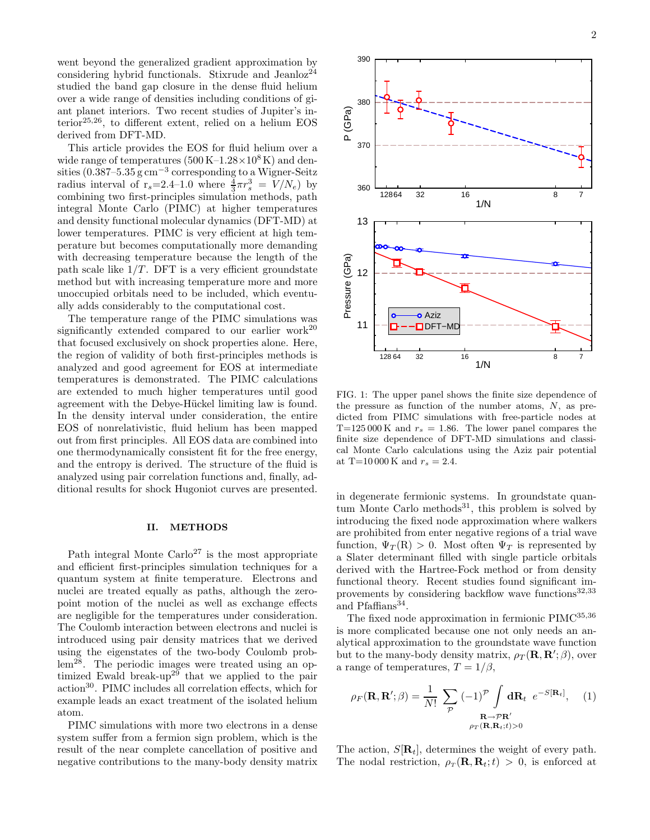went beyond the generalized gradient approximation by considering hybrid functionals. Stixrude and Jeanloz<sup>24</sup> studied the band gap closure in the dense fluid helium over a wide range of densities including conditions of giant planet interiors. Two recent studies of Jupiter's interior<sup>25,26</sup>, to different extent, relied on a helium EOS derived from DFT-MD.

This article provides the EOS for fluid helium over a wide range of temperatures  $(500 \text{ K} - 1.28 \times 10^8 \text{ K})$  and densities  $(0.387-5.35 \text{ g cm}^{-3}$  corresponding to a Wigner-Seitz radius interval of  $r_s = 2.4 - 1.0$  where  $\frac{4}{3}\pi r_s^3 = V/N_e$  by combining two first-principles simulation methods, path integral Monte Carlo (PIMC) at higher temperatures and density functional molecular dynamics (DFT-MD) at lower temperatures. PIMC is very efficient at high temperature but becomes computationally more demanding with decreasing temperature because the length of the path scale like  $1/T$ . DFT is a very efficient groundstate method but with increasing temperature more and more unoccupied orbitals need to be included, which eventually adds considerably to the computational cost.

The temperature range of the PIMC simulations was significantly extended compared to our earlier work<sup>20</sup> that focused exclusively on shock properties alone. Here, the region of validity of both first-principles methods is analyzed and good agreement for EOS at intermediate temperatures is demonstrated. The PIMC calculations are extended to much higher temperatures until good agreement with the Debye-Hückel limiting law is found. In the density interval under consideration, the entire EOS of nonrelativistic, fluid helium has been mapped out from first principles. All EOS data are combined into one thermodynamically consistent fit for the free energy, and the entropy is derived. The structure of the fluid is analyzed using pair correlation functions and, finally, additional results for shock Hugoniot curves are presented.

## II. METHODS

Path integral Monte  $\text{Carlo}^{27}$  is the most appropriate and efficient first-principles simulation techniques for a quantum system at finite temperature. Electrons and nuclei are treated equally as paths, although the zeropoint motion of the nuclei as well as exchange effects are negligible for the temperatures under consideration. The Coulomb interaction between electrons and nuclei is introduced using pair density matrices that we derived using the eigenstates of the two-body Coulomb problem28. The periodic images were treated using an optimized Ewald break-up<sup>29</sup> that we applied to the pair action30. PIMC includes all correlation effects, which for example leads an exact treatment of the isolated helium atom.

PIMC simulations with more two electrons in a dense system suffer from a fermion sign problem, which is the result of the near complete cancellation of positive and negative contributions to the many-body density matrix



FIG. 1: The upper panel shows the finite size dependence of the pressure as function of the number atoms,  $N$ , as predicted from PIMC simulations with free-particle nodes at T=125 000 K and  $r_s = 1.86$ . The lower panel compares the finite size dependence of DFT-MD simulations and classical Monte Carlo calculations using the Aziz pair potential at T=10 000 K and  $r_s = 2.4$ .

in degenerate fermionic systems. In groundstate quantum Monte Carlo methods<sup>31</sup>, this problem is solved by introducing the fixed node approximation where walkers are prohibited from enter negative regions of a trial wave function,  $\Psi_T(\mathbf{R}) > 0$ . Most often  $\Psi_T$  is represented by a Slater determinant filled with single particle orbitals derived with the Hartree-Fock method or from density functional theory. Recent studies found significant improvements by considering backflow wave functions<sup>32,33</sup> and Pfaffians<sup>34</sup>.

The fixed node approximation in fermionic PIMC<sup>35,36</sup> is more complicated because one not only needs an analytical approximation to the groundstate wave function but to the many-body density matrix,  $\rho_T(\mathbf{R}, \mathbf{R}'; \beta)$ , over a range of temperatures,  $T = 1/\beta$ ,

$$
\rho_F(\mathbf{R}, \mathbf{R}'; \beta) = \frac{1}{N!} \sum_{\mathcal{P}} (-1)^{\mathcal{P}} \int \mathbf{d}\mathbf{R}_t \ e^{-S[\mathbf{R}_t]}, \quad (1)
$$

$$
\Pr_{\rho_T(\mathbf{R}, \mathbf{R}_t; t) > 0}
$$

The action,  $S[\mathbf{R}_t]$ , determines the weight of every path. The nodal restriction,  $\rho_T(\mathbf{R}, \mathbf{R}_t; t) > 0$ , is enforced at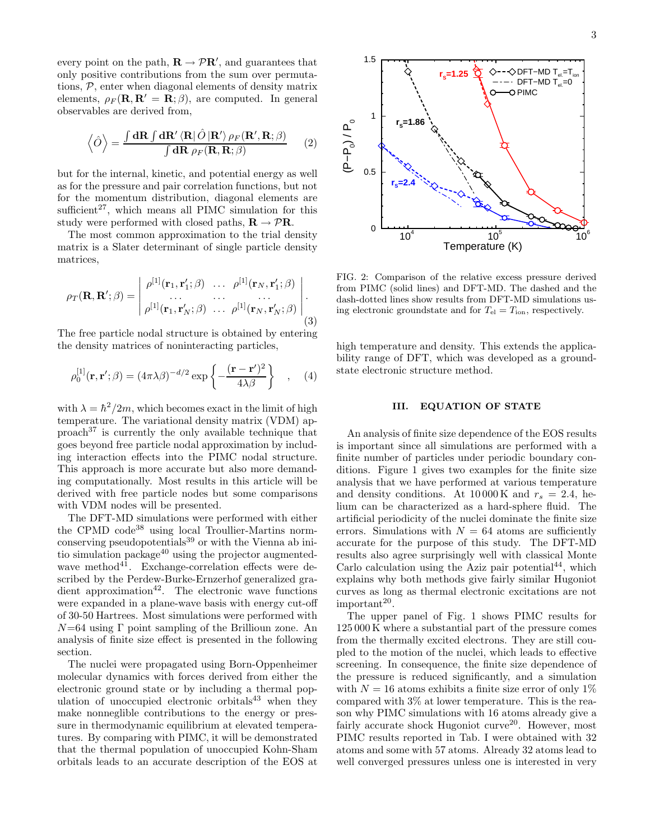every point on the path,  $\mathbf{R} \to \mathcal{P} \mathbf{R}'$ , and guarantees that only positive contributions from the sum over permutations, P, enter when diagonal elements of density matrix elements,  $\rho_F(\mathbf{R}, \mathbf{R}' = \mathbf{R}; \beta)$ , are computed. In general observables are derived from,

$$
\left\langle \hat{O} \right\rangle = \frac{\int d\mathbf{R} \int d\mathbf{R}' \left\langle \mathbf{R} | \hat{O} | \mathbf{R}' \right\rangle \rho_F(\mathbf{R}', \mathbf{R}; \beta)}{\int d\mathbf{R} \rho_F(\mathbf{R}, \mathbf{R}; \beta)} \qquad (2)
$$

but for the internal, kinetic, and potential energy as well as for the pressure and pair correlation functions, but not for the momentum distribution, diagonal elements are  $sufficient<sup>27</sup>$ , which means all PIMC simulation for this study were performed with closed paths,  $\mathbf{R} \to \mathcal{P}\mathbf{R}$ .

The most common approximation to the trial density matrix is a Slater determinant of single particle density matrices,

$$
\rho_T(\mathbf{R}, \mathbf{R}'; \beta) = \begin{vmatrix} \rho^{[1]}(\mathbf{r}_1, \mathbf{r}_1'; \beta) & \dots & \rho^{[1]}(\mathbf{r}_N, \mathbf{r}_1'; \beta) \\ \dots & \dots & \dots \\ \rho^{[1]}(\mathbf{r}_1, \mathbf{r}_N'; \beta) & \dots & \rho^{[1]}(\mathbf{r}_N, \mathbf{r}_N'; \beta) \end{vmatrix} . \tag{3}
$$

The free particle nodal structure is obtained by entering the density matrices of noninteracting particles,

$$
\rho_0^{[1]}(\mathbf{r}, \mathbf{r}'; \beta) = (4\pi\lambda\beta)^{-d/2} \exp\left\{-\frac{(\mathbf{r} - \mathbf{r}')^2}{4\lambda\beta}\right\} , \quad (4)
$$

with  $\lambda = \hbar^2/2m$ , which becomes exact in the limit of high temperature. The variational density matrix (VDM) approach<sup>37</sup> is currently the only available technique that goes beyond free particle nodal approximation by including interaction effects into the PIMC nodal structure. This approach is more accurate but also more demanding computationally. Most results in this article will be derived with free particle nodes but some comparisons with VDM nodes will be presented.

The DFT-MD simulations were performed with either the CPMD code<sup>38</sup> using local Troullier-Martins normconserving pseudopotentials $39$  or with the Vienna ab initio simulation package $40$  using the projector augmentedwave method<sup>41</sup>. Exchange-correlation effects were described by the Perdew-Burke-Ernzerhof generalized gradient approximation<sup>42</sup>. The electronic wave functions were expanded in a plane-wave basis with energy cut-off of 30-50 Hartrees. Most simulations were performed with  $N=64$  using Γ point sampling of the Brillioun zone. An analysis of finite size effect is presented in the following section.

The nuclei were propagated using Born-Oppenheimer molecular dynamics with forces derived from either the electronic ground state or by including a thermal population of unoccupied electronic orbitals $43$  when they make nonneglible contributions to the energy or pressure in thermodynamic equilibrium at elevated temperatures. By comparing with PIMC, it will be demonstrated that the thermal population of unoccupied Kohn-Sham orbitals leads to an accurate description of the EOS at



FIG. 2: Comparison of the relative excess pressure derived from PIMC (solid lines) and DFT-MD. The dashed and the dash-dotted lines show results from DFT-MD simulations using electronic groundstate and for  $T_{el} = T_{ion}$ , respectively.

high temperature and density. This extends the applicability range of DFT, which was developed as a groundstate electronic structure method.

#### III. EQUATION OF STATE

An analysis of finite size dependence of the EOS results is important since all simulations are performed with a finite number of particles under periodic boundary conditions. Figure 1 gives two examples for the finite size analysis that we have performed at various temperature and density conditions. At  $10\,000\,\mathrm{K}$  and  $r_s = 2.4$ , helium can be characterized as a hard-sphere fluid. The artificial periodicity of the nuclei dominate the finite size errors. Simulations with  $N = 64$  atoms are sufficiently accurate for the purpose of this study. The DFT-MD results also agree surprisingly well with classical Monte Carlo calculation using the Aziz pair potential<sup>44</sup>, which explains why both methods give fairly similar Hugoniot curves as long as thermal electronic excitations are not  $important<sup>20</sup>$ .

The upper panel of Fig. 1 shows PIMC results for 125 000 K where a substantial part of the pressure comes from the thermally excited electrons. They are still coupled to the motion of the nuclei, which leads to effective screening. In consequence, the finite size dependence of the pressure is reduced significantly, and a simulation with  $N = 16$  atoms exhibits a finite size error of only 1% compared with 3% at lower temperature. This is the reason why PIMC simulations with 16 atoms already give a fairly accurate shock Hugoniot curve<sup>20</sup>. However, most PIMC results reported in Tab. I were obtained with 32 atoms and some with 57 atoms. Already 32 atoms lead to well converged pressures unless one is interested in very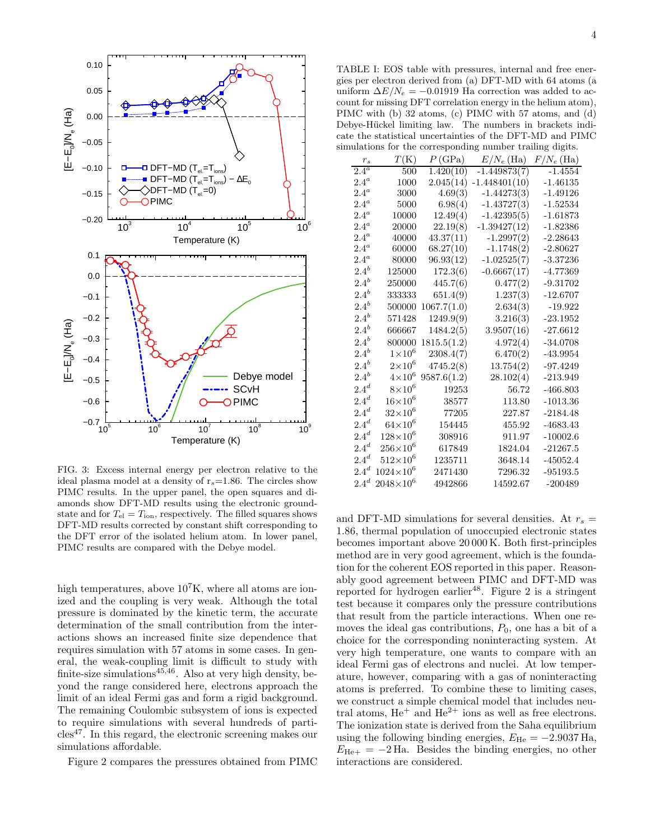

FIG. 3: Excess internal energy per electron relative to the ideal plasma model at a density of  $r_s=1.86$ . The circles show PIMC results. In the upper panel, the open squares and diamonds show DFT-MD results using the electronic groundstate and for  $T_{el} = T_{ion}$ , respectively. The filled squares shows DFT-MD results corrected by constant shift corresponding to the DFT error of the isolated helium atom. In lower panel, PIMC results are compared with the Debye model.

high temperatures, above  $10<sup>7</sup>K$ , where all atoms are ionized and the coupling is very weak. Although the total pressure is dominated by the kinetic term, the accurate determination of the small contribution from the interactions shows an increased finite size dependence that requires simulation with 57 atoms in some cases. In general, the weak-coupling limit is difficult to study with finite-size simulations<sup> $45,46$ </sup>. Also at very high density, beyond the range considered here, electrons approach the limit of an ideal Fermi gas and form a rigid background. The remaining Coulombic subsystem of ions is expected to require simulations with several hundreds of particles<sup>47</sup>. In this regard, the electronic screening makes our simulations affordable.

Figure 2 compares the pressures obtained from PIMC

TABLE I: EOS table with pressures, internal and free energies per electron derived from (a) DFT-MD with 64 atoms (a uniform  $\Delta E/N_e = -0.01919$  Ha correction was added to account for missing DFT correlation energy in the helium atom), PIMC with (b) 32 atoms, (c) PIMC with 57 atoms, and (d) Debye-Hückel limiting law. The numbers in brackets indicate the statistical uncertainties of the DFT-MD and PIMC simulations for the corresponding number trailing digits.

| $r_s$            | T(K)                | P(GPa)      | $\frac{1}{2}$<br>$E/N_e$ (Ha) $F/N_e$ (Ha) |            |
|------------------|---------------------|-------------|--------------------------------------------|------------|
| $2.4^a$          | 500                 | 1.420(10)   | $-1.449873(7)$                             | $-1.4554$  |
| $2.4^a$          | 1000                | 2.045(14)   | $-1.448401(10)$                            | -1.46135   |
| $2.4^a$          | 3000                | 4.69(3)     | $-1.44273(3)$                              | -1.49126   |
| $2.4^a$          | 5000                | 6.98(4)     | $-1.43727(3)$                              | -1.52534   |
| $2.4^a$          | 10000               | 12.49(4)    | $-1.42395(5)$                              | $-1.61873$ |
| $2.4^a$          | 20000               | 22.19(8)    | $-1.39427(12)$                             | -1.82386   |
| $2.4^a$          | 40000               | 43.37(11)   | $-1.2997(2)$                               | -2.28643   |
| $2.4^a$          | 60000               | 68.27(10)   | $-1.1748(2)$                               | -2.80627   |
| $2.4^a$          | 80000               | 96.93(12)   | $-1.02525(7)$                              | $-3.37236$ |
| $2.4^{b}$        | 125000              | 172.3(6)    | $-0.6667(17)$                              | -4.77369   |
| $2.4^{b}$        | 250000              | 445.7(6)    | 0.477(2)                                   | -9.31702   |
| $2.4^{b}$        | 333333              | 651.4(9)    | 1.237(3)                                   | -12.6707   |
| $2.4^{b}$        | 500000              | 1067.7(1.0) | 2.634(3)                                   | -19.922    |
| $2.4^b$          | 571428              | 1249.9(9)   | 3.216(3)                                   | $-23.1952$ |
| $2.4^{b}$        | 666667              | 1484.2(5)   | 3.9507(16)                                 | $-27.6612$ |
| $2.4^{b}$        | 800000              | 1815.5(1.2) | 4.972(4)                                   | -34.0708   |
| $2.4^{b}$        | $1\times10^{6}$     | 2308.4(7)   | 6.470(2)                                   | -43.9954   |
| $2.4^{b}$        | $2\times10^6$       | 4745.2(8)   | 13.754(2)                                  | -97.4249   |
| $2.4^{b}$        | $4 \times 10^{6}$   | 9587.6(1.2) | 28.102(4)                                  | -213.949   |
| 2.4 <sup>d</sup> | $8\times10^6$       | 19253       | 56.72                                      | $-466.803$ |
| 2.4 <sup>d</sup> | $16\times10^6$      | 38577       | 113.80                                     | -1013.36   |
| 2.4 <sup>d</sup> | $32\times10^6$      | 77205       | 227.87                                     | -2184.48   |
| 2.4 <sup>d</sup> | $64\times10^6$      | 154445      | 455.92                                     | -4683.43   |
| 2.4 <sup>d</sup> | $128 \times 10^{6}$ | 308916      | 911.97                                     | $-10002.6$ |
| 2.4 <sup>d</sup> | $256\times10^{6}$   | 617849      | 1824.04                                    | -21267.5   |
| 2.4 <sup>d</sup> | $512\times10^{6}$   | 1235711     | 3648.14                                    | $-45052.4$ |
| $2.4^d$          | $1024{\times}10^6$  | 2471430     | 7296.32                                    | -95193.5   |
| 2.4 <sup>d</sup> | $2048{\times}10^6$  | 4942866     | 14592.67                                   | -200489    |
|                  |                     |             |                                            |            |

and DFT-MD simulations for several densities. At  $r_s =$ 1.86, thermal population of unoccupied electronic states becomes important above 20 000 K. Both first-principles method are in very good agreement, which is the foundation for the coherent EOS reported in this paper. Reasonably good agreement between PIMC and DFT-MD was reported for hydrogen earlier<sup>48</sup>. Figure 2 is a stringent test because it compares only the pressure contributions that result from the particle interactions. When one removes the ideal gas contributions,  $P_0$ , one has a bit of a choice for the corresponding noninteracting system. At very high temperature, one wants to compare with an ideal Fermi gas of electrons and nuclei. At low temperature, however, comparing with a gas of noninteracting atoms is preferred. To combine these to limiting cases, we construct a simple chemical model that includes neutral atoms,  $He<sup>+</sup>$  and  $He<sup>2+</sup>$  ions as well as free electrons. The ionization state is derived from the Saha equilibrium using the following binding energies,  $E_{\text{He}} = -2.9037 \text{ Ha}$ ,  $E_{\text{He+}} = -2 \text{Ha}$ . Besides the binding energies, no other interactions are considered.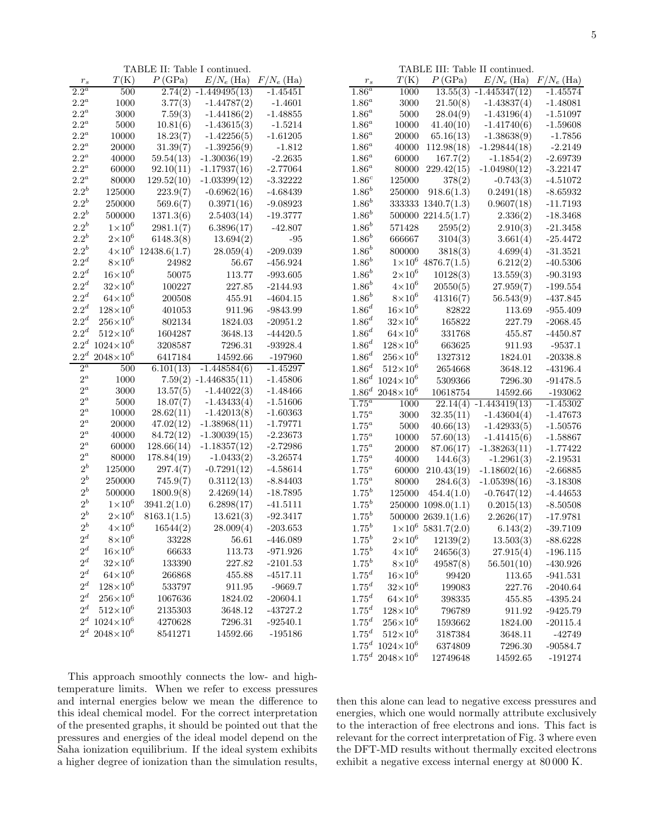| $r_s$      | $T(\mathrm{K})$      | $P\left(\text{GPa}\right)$ | $E/N_e$ (Ha)    | $F/N_e$ (Ha) |
|------------|----------------------|----------------------------|-----------------|--------------|
| $1.86^a$   | 1000                 | 13.55(3)                   | $-1.445347(12)$ | $-1.45574$   |
| $1.86^a$   | 3000                 | 21.50(8)                   | $-1.43837(4)$   | -1.48081     |
| $1.86^a$   | 5000                 | 28.04(9)                   | $-1.43196(4)$   | $-1.51097$   |
| $1.86^a$   | 10000                | 41.40(10)                  | $-1.41740(6)$   | $-1.59608$   |
| $1.86^a$   | 20000                | 65.16(13)                  | $-1.38638(9)$   | -1.7856      |
| $1.86^a$   | 40000                | 112.98(18)                 | $-1.29844(18)$  | $-2.2149$    |
| $1.86^a$   | 60000                | 167.7(2)                   | $-1.1854(2)$    | -2.69739     |
| $1.86^a$   | 80000                | 229.42(15)                 | $-1.04980(12)$  | $-3.22147$   |
| $1.86^c$   | 125000               | 378(2)                     | $-0.743(3)$     | -4.51072     |
| $1.86^b$   | 250000               | 918.6(1.3)                 | 0.2491(18)      | -8.65932     |
| $1.86^b$   | 333333               | 1340.7(1.3)                | 0.9607(18)      | -11.7193     |
| $1.86^b$   | 500000               | 2214.5(1.7)                | 2.336(2)        | $-18.3468$   |
| $1.86^{b}$ | 571428               | 2595(2)                    | 2.910(3)        | -21.3458     |
| $1.86^b$   | 666667               | 3104(3)                    | 3.661(4)        | $-25.4472$   |
| $1.86^b$   | 800000               | 3818(3)                    | 4.699(4)        | $-31.3521$   |
| $1.86^b$   | $1\times10^6$        | 4876.7(1.5)                | 6.212(2)        | $-40.5306$   |
| $1.86^b$   | $2\times10^6$        | 10128(3)                   | 13.559(3)       | $-90.3193$   |
| $1.86^b$   | $4\times10^6$        | 20550(5)                   | 27.959(7)       | $-199.554$   |
| $1.86^b$   | $8\times10^6$        | 41316(7)                   | 56.543(9)       | $-437.845$   |
| $1.86^{d}$ | $16\times10^6$       | 82822                      | 113.69          | $-955.409$   |
| $1.86^{d}$ | $32\times10^6$       | 165822                     | 227.79          | -2068.45     |
| $1.86^d$   | $64\times10^6$       | 331768                     | 455.87          | $-4450.87$   |
| $1.86^d$   | $128\times10^6$      | 663625                     | 911.93          | -9537.1      |
| $1.86^d$   | $256\times10^6$      | 1327312                    | 1824.01         | -20338.8     |
| $1.86^{d}$ | $512\times10^6$      | 2654668                    | 3648.12         | $-43196.4$   |
| $1.86^{d}$ | $1024 \times 10^{6}$ | 5309366                    | 7296.30         | -91478.5     |
| $1.86^d$   | $2048\times10^{6}$   | 10618754                   | 14592.66        | $-193062$    |
| $1.75^a$   | 1000                 | $\overline{22.14(4)}$      | $-1.443419(13)$ | -1.45302     |
| $1.75^a$   | 3000                 | 32.35(11)                  | $-1.43604(4)$   | $-1.47673$   |
| $1.75^a$   | 5000                 | 40.66(13)                  | $-1.42933(5)$   | -1.50576     |
| $1.75^a$   | 10000                | 57.60(13)                  | $-1.41415(6)$   | $-1.58867$   |
| $1.75^a$   | 20000                | 87.06(17)                  | $-1.38263(11)$  | -1.77422     |
| $1.75^a$   | 40000                | 144.6(3)                   | $-1.2961(3)$    | $-2.19531$   |
| $1.75^a$   | 60000                | 210.43(19)                 | $-1.18602(16)$  | -2.66885     |
| $1.75^a$   | 80000                | 284.6(3)                   | $-1.05398(16)$  | -3.18308     |
| $1.75^b$   | 125000               | 454.4(1.0)                 | $-0.7647(12)$   | -4.44653     |
| $1.75^b$   | $250000\,$           | 1098.0(1.1)                | 0.2015(13)      | $-8.50508$   |
| $1.75^b$   | 500000               | 2639.1(1.6)                | 2.2626(17)      | $-17.9781$   |
| $1.75^b$   | $1\times10^6$        | 5831.7(2.0)                | 6.143(2)        | $-39.7109$   |
| $1.75^{b}$ | $2\times10^6$        | 12139(2)                   | 13.503(3)       | -88.6228     |
| $1.75^b$   | $4\times10^6$        | 24656(3)                   | 27.915(4)       | $-196.115$   |
| $1.75^b$   | $8\times10^6$        | 49587(8)                   | 56.501(10)      | $-430.926$   |
| $1.75^d$   | $16\times10^6$       | 99420                      | 113.65          | $-941.531$   |
| $1.75^d$   | $32\times10^6$       | 199083                     | 227.76          | $-2040.64$   |
| $1.75^d$   | $64\times10^6$       | 398335                     | 455.85          | $-4395.24$   |
| $1.75^d$   | $128\times10^{6}$    | 796789                     | 911.92          | $-9425.79$   |
| $1.75^d$   | $256\times10^{6}$    | 1593662                    | 1824.00         | $-20115.4$   |
| $1.75^d$   | $512\times10^{6}$    | 3187384                    | 3648.11         | $-42749$     |
| $1.75^d$   | $1024 \times 10^{6}$ | 6374809                    | 7296.30         | $-90584.7$   |
| $1.75^d$   | $2048 \times 10^{6}$ | 12749648                   | 14592.65        | $-191274$    |
|            |                      |                            |                 |              |

This approach smoothly connects the low- and hightemperature limits. When we refer to excess pressures and internal energies below we mean the difference to this ideal chemical model. For the correct interpretation of the presented graphs, it should be pointed out that the pressures and energies of the ideal model depend on the Saha ionization equilibrium. If the ideal system exhibits a higher degree of ionization than the simulation results,

then this alone can lead to negative excess pressures and energies, which one would normally attribute exclusively to the interaction of free electrons and ions. This fact is relevant for the correct interpretation of Fig. 3 where even the DFT-MD results without thermally excited electrons exhibit a negative excess internal energy at 80 000 K.

|                     | $T(\mathrm{K})$      | $P\left(\text{GPa}\right)$ | $E/N_e$ (Ha)    | $F/N_e$ (Ha)                         |
|---------------------|----------------------|----------------------------|-----------------|--------------------------------------|
| $\frac{r_s}{2.2^a}$ | 500                  | 2.74(2)                    | $-1.449495(13)$ | $-1.\overline{45451}$                |
| $2.2^a$             | 1000                 | 3.77(3)                    | $-1.44787(2)$   | $-1.4601$                            |
| $2.2^a$             | $_{\rm 3000}$        | 7.59(3)                    | $-1.44186(2)$   | $-1.48855$                           |
| $2.2^a$             | 5000                 | 10.81(6)                   | $-1.43615(3)$   | -1.5214                              |
| $2.2^a$             | 10000                | 18.23(7)                   | $-1.42256(5)$   | $-1.61205$                           |
| $2.2^a$             | 20000                | 31.39(7)                   | $-1.39256(9)$   | $-1.812$                             |
| $2.2^a$             | 40000                | 59.54(13)                  | $-1.30036(19)$  | $-2.2635$                            |
| $2.2^a$             | 60000                | 92.10(11)                  | -1.17937(16)    | $-2.77064$                           |
| $2.2^a$             | 80000                | 129.52(10)                 | $-1.03399(12)$  | $-3.32222$                           |
| $2.2^b$             | 125000               | 223.9(7)                   | $-0.6962(16)$   | $-4.68439$                           |
| $2.2^b$             | 250000               | 569.6(7)                   | 0.3971(16)      | -9.08923                             |
| $2.2^b$             | 500000               | 1371.3(6)                  | 2.5403(14)      | $-19.3777$                           |
| $2.2^b$             | $1\times10^6$        | 2981.1(7)                  | 6.3896(17)      | $-42.807$                            |
| $2.2^b$             | $2\times10^6$        | 6148.3(8)                  | 13.694(2)       | -95                                  |
| $2.2^b$             | $4\times10^6$        | 12438.6(1.7)               | 28.059(4)       | $-209.039$                           |
| $2.2^d$             | $8\times10^6$        | 24982                      | 56.67           | -456.924                             |
| $2.2^d$             | $16\times10^6$       | 50075                      | 113.77          | -993.605                             |
| $2.2^d$             | $32\times10^6$       | 100227                     | 227.85          | -2144.93                             |
| $2.2^d$             | $64\times10^6$       | 200508                     | 455.91          | $-4604.15$                           |
| $2.2^d$             | $128\times10^6$      | 401053                     | 911.96          | -9843.99                             |
| $2.2^d$             | $256\times10^{6}$    | 802134                     | 1824.03         | -20951.2                             |
| $2.2^d$             | $512\times10^{6}$    | 1604287                    | 3648.13         | -44420.5                             |
| 2.2 <sup>d</sup>    | $1024\times10^{6}$   | 3208587                    | 7296.31         | -93928.4                             |
| $2.2^d$             | $2048 \times 10^{6}$ | 6417184                    | 14592.66        | $-197960$                            |
| $2^a$               | 500                  | 6.101(13)                  | $-1.448584(6)$  | $-1.45297$                           |
| $2^a$               | 1000                 | 7.59(2)                    | $-1.446835(11)$ | $-1.45806$                           |
| $2^a$               | 3000                 | 13.57(5)                   | $-1.44022(3)$   | $-1.48466$                           |
| $2^{\alpha}$        | $5000\,$             | 18.07(7)                   | $-1.43433(4)$   | $\textcolor{red}{\textbf{-1.51606}}$ |
| $2^a$               | 10000                | 28.62(11)                  | $-1.42013(8)$   | $-1.60363$                           |
| $2^a$               | 20000                | 47.02(12)                  | $-1.38968(11)$  | -1.79771                             |
| $2^a$               | 40000                | 84.72(12)                  | $-1.30039(15)$  | $-2.23673$                           |
| $2^{\alpha}$        | 60000                | 128.66(14)                 | -1.18357(12)    | $-2.72986$                           |
| $2^{\alpha}$        | 80000                | 178.84(19)                 | $-1.0433(2)$    | $-3.26574$                           |
| $2^b$               | 125000               | 297.4(7)                   | $-0.7291(12)$   | -4.58614                             |
| $2^b$               | 250000               | 745.9(7)                   | 0.3112(13)      | -8.84403                             |
| $2^b$               | 500000               | 1800.9(8)                  | 2.4269(14)      | -18.7895                             |
| $2^b$               | $1\times10^6$        | 3941.2(1.0)                | 6.2898(17)      | -41.5111                             |
| $2^b$               | $2\times10^6$        | 8163.1(1.5)                | 13.621(3)       | $-92.3417$                           |
| $2^b$               | $4\times10^6$        | 16544(2)                   | 28.009(4)       | $-203.653$                           |
| $2^d$               | $8\times10^6$        | 33228                      | 56.61           | -446.089                             |
| $2^d$               | $16\times10^6$       | 66633                      | 113.73          | $-971.926$                           |
| $2^d$               | $32\times10^6$       | 133390                     | 227.82          | $-2101.53$                           |
| $2^d$               | $64\times10^6$       | 266868                     | 455.88          | $-4517.11$                           |
| $2^d$               | $128\times10^6$      | 533797                     | 911.95          | $-9669.7$                            |
| $2^d$               | $256\times10^{6}$    | 1067636                    | 1824.02         | $-20604.1$                           |
| $2^d$               | $512\times10^{6}$    | 2135303                    | 3648.12         | $-43727.2$                           |
| $2^d$               | $1024 \times 10^{6}$ | 4270628                    | 7296.31         | $-92540.1$                           |
| $2^d$               | $2048 \times 10^{6}$ | 8541271                    | 14592.66        | $-195186$                            |

TABLE II: Table I continued.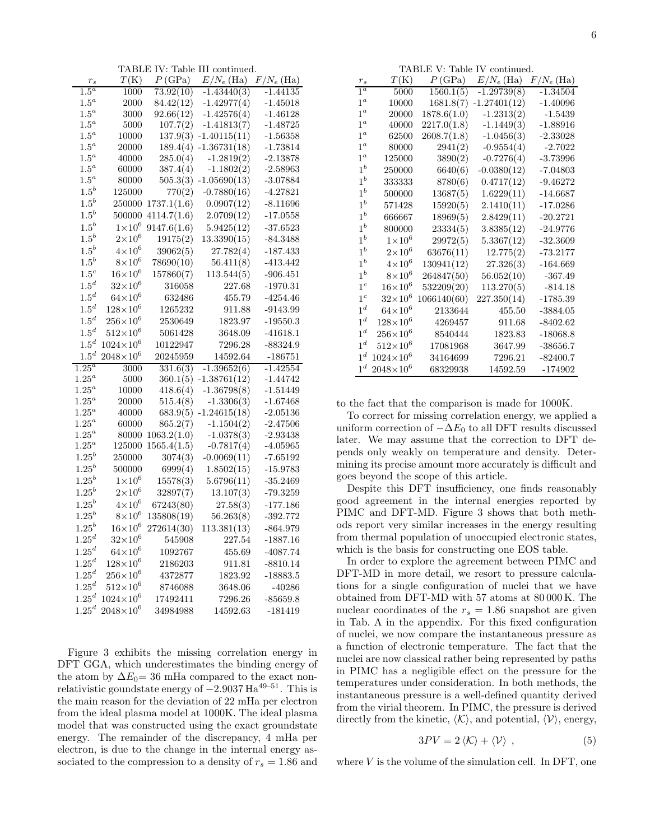TABLE V: Table IV continued.

| $r_s$          | $T(\mathrm{K})$    | P(GPa)      | $E/N_e$ (Ha)             | $F/N_e$ (Ha) |
|----------------|--------------------|-------------|--------------------------|--------------|
| $1^a$          | 5000               | 1560.1(5)   | $-1.\overline{29739(8)}$ | $-1.34504$   |
| $1^{\alpha}$   | 10000              | 1681.8(7)   | $-1.27401(12)$           | $-1.40096$   |
| 1 <sup>a</sup> | 20000              | 1878.6(1.0) | $-1.2313(2)$             | $-1.5439$    |
| $1^{\alpha}$   | 40000              | 2217.0(1.8) | $-1.1449(3)$             | $-1.88916$   |
| $1^{\alpha}$   | 62500              | 2608.7(1.8) | $-1.0456(3)$             | $-2.33028$   |
| $1^{\alpha}$   | 80000              | 2941(2)     | $-0.9554(4)$             | $-2.7022$    |
| $1^{\alpha}$   | 125000             | 3890(2)     | $-0.7276(4)$             | -3.73996     |
| $1^b$          | 250000             | 6640(6)     | $-0.0380(12)$            | -7.04803     |
| $1^b$          | 333333             | 8780(6)     | 0.4717(12)               | -9.46272     |
| $1^b$          | 500000             | 13687(5)    | 1.6229(11)               | $-14.6687$   |
| 1 <sup>b</sup> | 571428             | 15920(5)    | 2.1410(11)               | $-17.0286$   |
| 1 <sup>b</sup> | 666667             | 18969(5)    | 2.8429(11)               | $-20.2721$   |
| $1^b$          | 800000             | 23334(5)    | 3.8385(12)               | -24.9776     |
| 1 <sup>b</sup> | $1\times10^6$      | 29972(5)    | 5.3367(12)               | -32.3609     |
| $1^b$          | $2\times10^6$      | 63676(11)   | 12.775(2)                | -73.2177     |
| $1^b$          | $4\times10^6$      | 130941(12)  | 27.326(3)                | -164.669     |
| $1^b$          | $8\times10^6$      | 264847(50)  | 56.052(10)               | $-367.49$    |
| $1^c$          | $16\times10^6$     | 532209(20)  | 113.270(5)               | $-814.18$    |
| 1 <sup>c</sup> | $32\times10^6$     | 1066140(60) | 227.350(14)              | -1785.39     |
| $1^d$          | $64\times10^{6}$   | 2133644     | 455.50                   | -3884.05     |
| $1^d$          | $128\times10^6$    | 4269457     | 911.68                   | $-8402.62$   |
| $1^d$          | $256\times10^{6}$  | 8540444     | 1823.83                  | $-18068.8$   |
| 1 <sup>d</sup> | $512\times10^{6}$  | 17081968    | 3647.99                  | -38656.7     |
| $1^d$          | $1024\times10^{6}$ | 34164699    | 7296.21                  | $-82400.7$   |
| $1^d$          | $2048\times10^{6}$ | 68329938    | 14592.59                 | -174902      |
|                |                    |             |                          |              |

| TABLE IV: Table III continued. |                      |             |                |              |  |
|--------------------------------|----------------------|-------------|----------------|--------------|--|
| $r_s$                          | $T(\mathrm{K})$      | P(GPa)      | $E/N_e$ (Ha)   | $F/N_e$ (Ha) |  |
| $1.5^a$                        | 1000                 | 73.92(10)   | $-1.43440(3)$  | -1.44135     |  |
| $1.5^a$                        | 2000                 | 84.42(12)   | $-1.42977(4)$  | $-1.45018$   |  |
| $1.5^a$                        | 3000                 | 92.66(12)   | $-1.42576(4)$  | $-1.46128$   |  |
| $1.5^a$                        | 5000                 | 107.7(2)    | $-1.41813(7)$  | -1.48725     |  |
| $1.5^a$                        | $10000\,$            | 137.9(3)    | $-1.40115(11)$ | -1.56358     |  |
| $1.5^a$                        | 20000                | 189.4(4)    | $-1.36731(18)$ | -1.73814     |  |
| $1.5^a$                        | 40000                | 285.0(4)    | $-1.2819(2)$   | -2.13878     |  |
| $1.5^a$                        | 60000                | 387.4(4)    | $-1.1802(2)$   | $-2.58963$   |  |
| $1.5^a$                        | 80000                | 505.3(3)    | $-1.05690(13)$ | $-3.07884$   |  |
| $1.5^{b}$                      | 125000               | 770(2)      | $-0.7880(16)$  | $-4.27821$   |  |
| $1.5^b$                        | 250000               | 1737.1(1.6) | 0.0907(12)     | -8.11696     |  |
| $1.5^b$                        | 500000               | 4114.7(1.6) | 2.0709(12)     | $-17.0558$   |  |
| $1.5^b$                        | $1\times10^6$        | 9147.6(1.6) | 5.9425(12)     | $-37.6523$   |  |
| $1.5^b$                        | $2\times10^6$        | 19175(2)    | 13.3390(15)    | $-84.3488$   |  |
| $1.5^b$                        | $4\times10^6$        | 39062(5)    | 27.782(4)      | -187.433     |  |
| $1.5^b$                        | $8\times10^6$        | 78690(10)   | 56.411(8)      | -413.442     |  |
| $1.5^c$                        | $16\times10^6$       | 157860(7)   | 113.544(5)     | -906.451     |  |
| $1.5^d$                        | $32\times10^6$       | 316058      | 227.68         | $-1970.31$   |  |
| $1.5^d$                        | $64\times10^6$       | 632486      | 455.79         | $-4254.46$   |  |
| $1.5^d$                        | $128\times10^6$      | 1265232     | 911.88         | -9143.99     |  |
| $1.5^d$                        | $256\times10^{6}$    | 2530649     | 1823.97        | $-19550.3$   |  |
| $1.5^d$                        | $512\times10^6$      | 5061428     | 3648.09        | $-41618.1$   |  |
| $1.5^d$                        | $1024\times10^{6}$   | 10122947    | 7296.28        | $-88324.9$   |  |
| $1.5^d$                        | $2048 \times 10^{6}$ | 20245959    | 14592.64       | -186751      |  |
| $1.25^a$                       | 3000                 | 331.6(3)    | $-1.39652(6)$  | $-1.42554$   |  |
| $1.25^a$                       | 5000                 | 360.1(5)    | $-1.38761(12)$ | $-1.44742$   |  |
| $1.25^a$                       | 10000                | 418.6(4)    | $-1.36798(8)$  | -1.51449     |  |
| $1.25^a$                       | 20000                | 515.4(8)    | $-1.3306(3)$   | $-1.67468$   |  |
| $1.25^a$                       | 40000                | 683.9(5)    | $-1.24615(18)$ | $-2.05136$   |  |
| $1.25^a$                       | 60000                | 865.2(7)    | $-1.1504(2)$   | $-2.47506$   |  |
| $1.25^a$                       | 80000                | 1063.2(1.0) | $-1.0378(3)$   | $-2.93438$   |  |
| $1.25^a$                       | 125000               | 1565.4(1.5) | $-0.7817(4)$   | $-4.05965$   |  |
| $1.25^b$                       | 250000               | 3074(3)     | $-0.0069(11)$  | -7.65192     |  |
| $1.25^{b}$                     | 500000               | 6999(4)     | 1.8502(15)     | $-15.9783$   |  |
| $1.25^b$                       | $1\times10^6$        | 15578(3)    | 5.6796(11)     | $-35.2469$   |  |
| $1.25^b$                       | $2\times10^6$        | 32897(7)    | 13.107(3)      | -79.3259     |  |
| $1.25^b$                       | $4\times10^6$        | 67243(80)   | 27.58(3)       | $-177.186$   |  |
| $1.25^b$                       | $8\times10^6$        | 135808(19)  | 56.263(8)      | $-392.772$   |  |
| $1.25^{b}$                     | $16\times10^6$       | 272614(30)  | 113.381(13)    | -864.979     |  |
| $1.25^d$                       | $32\times10^6$       | 545908      | 227.54         | $-1887.16$   |  |
| $1.25^d$                       | $64\times10^6$       | 1092767     | 455.69         | $-4087.74$   |  |
| $1.25^d$                       | $128\times10^{6}$    | 2186203     | 911.81         | $-8810.14$   |  |
| $1.25^d$                       | $256\times10^6$      | 4372877     | 1823.92        | $-18883.5$   |  |
| $1.25^d$                       | $512\times10^{6}$    | 8746088     | 3648.06        | $-40286$     |  |
| $1.25^{d}$                     | $1024\times10^{6}$   | 17492411    | 7296.26        | $-85659.8$   |  |
| $1.25^d$                       | $2048 \times 10^6$   | 34984988    | 14592.63       | $-181419$    |  |
|                                |                      |             |                |              |  |

Figure 3 exhibits the missing correlation energy in DFT GGA, which underestimates the binding energy of the atom by  $\Delta E_0 = 36$  mHa compared to the exact nonrelativistic goundstate energy of  $-2.9037 \text{ Ha}^{49-51}$ . This is the main reason for the deviation of 22 mHa per electron from the ideal plasma model at 1000K. The ideal plasma model that was constructed using the exact groundstate energy. The remainder of the discrepancy, 4 mHa per electron, is due to the change in the internal energy associated to the compression to a density of  $r_s = 1.86$  and to the fact that the comparison is made for 1000K.

To correct for missing correlation energy, we applied a uniform correction of  $-\Delta E_0$  to all DFT results discussed later. We may assume that the correction to DFT depends only weakly on temperature and density. Determining its precise amount more accurately is difficult and goes beyond the scope of this article.

Despite this DFT insufficiency, one finds reasonably good agreement in the internal energies reported by PIMC and DFT-MD. Figure 3 shows that both methods report very similar increases in the energy resulting from thermal population of unoccupied electronic states, which is the basis for constructing one EOS table.

In order to explore the agreement between PIMC and DFT-MD in more detail, we resort to pressure calculations for a single configuration of nuclei that we have obtained from DFT-MD with 57 atoms at 80 000 K. The nuclear coordinates of the  $r_s = 1.86$  snapshot are given in Tab. A in the appendix. For this fixed configuration of nuclei, we now compare the instantaneous pressure as a function of electronic temperature. The fact that the nuclei are now classical rather being represented by paths in PIMC has a negligible effect on the pressure for the temperatures under consideration. In both methods, the instantaneous pressure is a well-defined quantity derived from the virial theorem. In PIMC, the pressure is derived directly from the kinetic,  $\langle K \rangle$ , and potential,  $\langle V \rangle$ , energy,

$$
3PV = 2\langle K \rangle + \langle V \rangle , \qquad (5)
$$

where  $V$  is the volume of the simulation cell. In DFT, one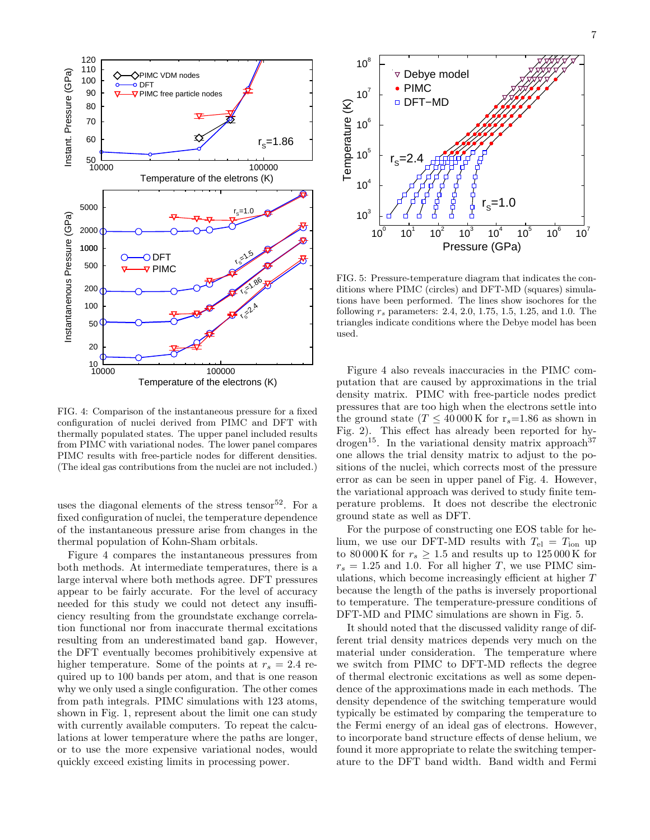

FIG. 4: Comparison of the instantaneous pressure for a fixed configuration of nuclei derived from PIMC and DFT with thermally populated states. The upper panel included results from PIMC with variational nodes. The lower panel compares PIMC results with free-particle nodes for different densities. (The ideal gas contributions from the nuclei are not included.)

uses the diagonal elements of the stress tensor<sup>52</sup>. For a fixed configuration of nuclei, the temperature dependence of the instantaneous pressure arise from changes in the thermal population of Kohn-Sham orbitals.

Figure 4 compares the instantaneous pressures from both methods. At intermediate temperatures, there is a large interval where both methods agree. DFT pressures appear to be fairly accurate. For the level of accuracy needed for this study we could not detect any insufficiency resulting from the groundstate exchange correlation functional nor from inaccurate thermal excitations resulting from an underestimated band gap. However, the DFT eventually becomes prohibitively expensive at higher temperature. Some of the points at  $r_s = 2.4$  required up to 100 bands per atom, and that is one reason why we only used a single configuration. The other comes from path integrals. PIMC simulations with 123 atoms, shown in Fig. 1, represent about the limit one can study with currently available computers. To repeat the calculations at lower temperature where the paths are longer, or to use the more expensive variational nodes, would quickly exceed existing limits in processing power.



FIG. 5: Pressure-temperature diagram that indicates the conditions where PIMC (circles) and DFT-MD (squares) simulations have been performed. The lines show isochores for the following  $r_s$  parameters: 2.4, 2.0, 1.75, 1.5, 1.25, and 1.0. The triangles indicate conditions where the Debye model has been used.

Figure 4 also reveals inaccuracies in the PIMC computation that are caused by approximations in the trial density matrix. PIMC with free-particle nodes predict pressures that are too high when the electrons settle into the ground state ( $T \leq 40000 \,\mathrm{K}$  for  $r_s = 1.86$  as shown in Fig. 2). This effect has already been reported for hydrogen<sup>15</sup>. In the variational density matrix approach<sup>37</sup> one allows the trial density matrix to adjust to the positions of the nuclei, which corrects most of the pressure error as can be seen in upper panel of Fig. 4. However, the variational approach was derived to study finite temperature problems. It does not describe the electronic ground state as well as DFT.

For the purpose of constructing one EOS table for helium, we use our DFT-MD results with  $T_{el} = T_{ion}$  up to 80 000 K for  $r_s \geq 1.5$  and results up to 125 000 K for  $r_s = 1.25$  and 1.0. For all higher T, we use PIMC simulations, which become increasingly efficient at higher T because the length of the paths is inversely proportional to temperature. The temperature-pressure conditions of DFT-MD and PIMC simulations are shown in Fig. 5.

It should noted that the discussed validity range of different trial density matrices depends very much on the material under consideration. The temperature where we switch from PIMC to DFT-MD reflects the degree of thermal electronic excitations as well as some dependence of the approximations made in each methods. The density dependence of the switching temperature would typically be estimated by comparing the temperature to the Fermi energy of an ideal gas of electrons. However, to incorporate band structure effects of dense helium, we found it more appropriate to relate the switching temperature to the DFT band width. Band width and Fermi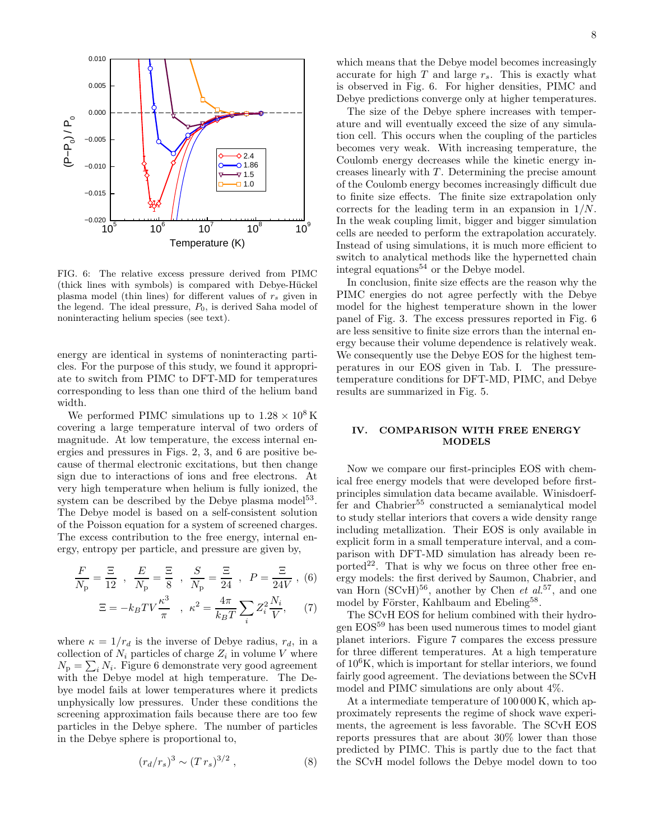

FIG. 6: The relative excess pressure derived from PIMC (thick lines with symbols) is compared with Debye-Hückel plasma model (thin lines) for different values of  $r<sub>s</sub>$  given in the legend. The ideal pressure,  $P_0$ , is derived Saha model of noninteracting helium species (see text).

energy are identical in systems of noninteracting particles. For the purpose of this study, we found it appropriate to switch from PIMC to DFT-MD for temperatures corresponding to less than one third of the helium band width.

We performed PIMC simulations up to  $1.28 \times 10^8$  K covering a large temperature interval of two orders of magnitude. At low temperature, the excess internal energies and pressures in Figs. 2, 3, and 6 are positive because of thermal electronic excitations, but then change sign due to interactions of ions and free electrons. At very high temperature when helium is fully ionized, the system can be described by the Debye plasma model<sup>53</sup>. The Debye model is based on a self-consistent solution of the Poisson equation for a system of screened charges. The excess contribution to the free energy, internal energy, entropy per particle, and pressure are given by,

$$
\frac{F}{N_{\rm p}} = \frac{\Xi}{12} , \frac{E}{N_{\rm p}} = \frac{\Xi}{8} , \frac{S}{N_{\rm p}} = \frac{\Xi}{24} , P = \frac{\Xi}{24V} , (6)
$$

$$
\Xi = -k_B T V \frac{\kappa^3}{\pi} \quad , \quad \kappa^2 = \frac{4\pi}{k_B T} \sum_i Z_i^2 \frac{N_i}{V}, \tag{7}
$$

where  $\kappa = 1/r_d$  is the inverse of Debye radius,  $r_d$ , in a collection of  $N_i$  particles of charge  $Z_i$  in volume V where  $N_{\rm p} = \sum_i N_i$ . Figure 6 demonstrate very good agreement with the Debye model at high temperature. The Debye model fails at lower temperatures where it predicts unphysically low pressures. Under these conditions the screening approximation fails because there are too few particles in the Debye sphere. The number of particles in the Debye sphere is proportional to,

$$
(r_d/r_s)^3 \sim (T r_s)^{3/2} , \qquad (8)
$$

which means that the Debye model becomes increasingly accurate for high  $T$  and large  $r_s$ . This is exactly what is observed in Fig. 6. For higher densities, PIMC and Debye predictions converge only at higher temperatures.

The size of the Debye sphere increases with temperature and will eventually exceed the size of any simulation cell. This occurs when the coupling of the particles becomes very weak. With increasing temperature, the Coulomb energy decreases while the kinetic energy increases linearly with  $T$ . Determining the precise amount of the Coulomb energy becomes increasingly difficult due to finite size effects. The finite size extrapolation only corrects for the leading term in an expansion in  $1/N$ . In the weak coupling limit, bigger and bigger simulation cells are needed to perform the extrapolation accurately. Instead of using simulations, it is much more efficient to switch to analytical methods like the hypernetted chain integral equations<sup>54</sup> or the Debye model.

In conclusion, finite size effects are the reason why the PIMC energies do not agree perfectly with the Debye model for the highest temperature shown in the lower panel of Fig. 3. The excess pressures reported in Fig. 6 are less sensitive to finite size errors than the internal energy because their volume dependence is relatively weak. We consequently use the Debye EOS for the highest temperatures in our EOS given in Tab. I. The pressuretemperature conditions for DFT-MD, PIMC, and Debye results are summarized in Fig. 5.

# IV. COMPARISON WITH FREE ENERGY MODELS

Now we compare our first-principles EOS with chemical free energy models that were developed before firstprinciples simulation data became available. Winisdoerffer and Chabrier<sup>55</sup> constructed a semianalytical model to study stellar interiors that covers a wide density range including metallization. Their EOS is only available in explicit form in a small temperature interval, and a comparison with DFT-MD simulation has already been reported<sup>22</sup>. That is why we focus on three other free energy models: the first derived by Saumon, Chabrier, and van Horn (SCvH)<sup>56</sup>, another by Chen et al.<sup>57</sup>, and one model by Förster, Kahlbaum and Ebeling<sup>58</sup>.

The SCvH EOS for helium combined with their hydrogen EOS<sup>59</sup> has been used numerous times to model giant planet interiors. Figure 7 compares the excess pressure for three different temperatures. At a high temperature of  $10^6$ K, which is important for stellar interiors, we found fairly good agreement. The deviations between the SCvH model and PIMC simulations are only about 4%.

At a intermediate temperature of 100 000 K, which approximately represents the regime of shock wave experiments, the agreement is less favorable. The SCvH EOS reports pressures that are about 30% lower than those predicted by PIMC. This is partly due to the fact that the SCvH model follows the Debye model down to too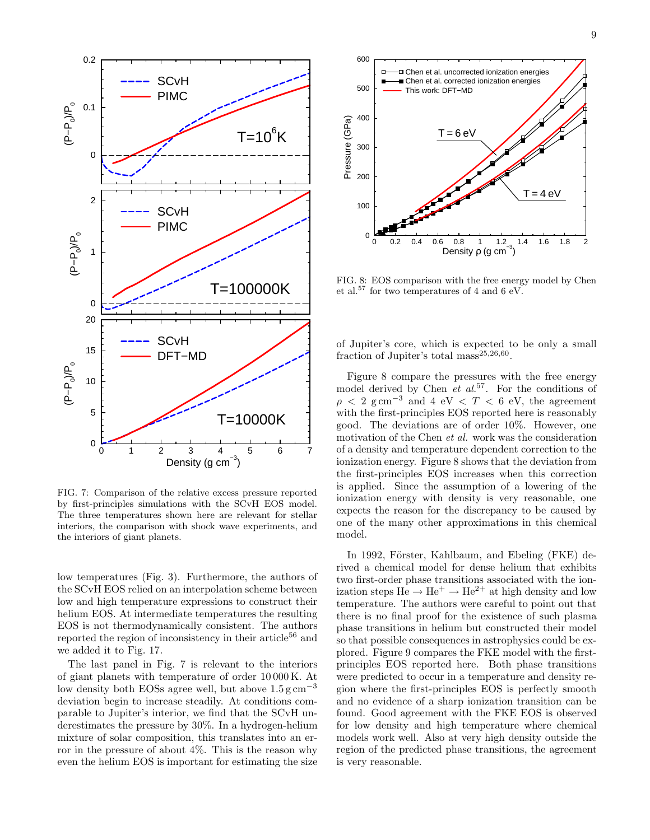

FIG. 7: Comparison of the relative excess pressure reported by first-principles simulations with the SCvH EOS model. The three temperatures shown here are relevant for stellar interiors, the comparison with shock wave experiments, and the interiors of giant planets.

low temperatures (Fig. 3). Furthermore, the authors of the SCvH EOS relied on an interpolation scheme between low and high temperature expressions to construct their helium EOS. At intermediate temperatures the resulting EOS is not thermodynamically consistent. The authors reported the region of inconsistency in their article<sup>56</sup> and we added it to Fig. 17.

The last panel in Fig. 7 is relevant to the interiors of giant planets with temperature of order 10 000 K. At low density both EOSs agree well, but above  $1.5 \text{ g cm}^{-3}$ deviation begin to increase steadily. At conditions comparable to Jupiter's interior, we find that the SCvH underestimates the pressure by 30%. In a hydrogen-helium mixture of solar composition, this translates into an error in the pressure of about 4%. This is the reason why even the helium EOS is important for estimating the size



FIG. 8: EOS comparison with the free energy model by Chen et al.<sup>57</sup> for two temperatures of 4 and 6 eV.

of Jupiter's core, which is expected to be only a small fraction of Jupiter's total  $mass<sup>25,26,60</sup>$ .

Figure 8 compare the pressures with the free energy model derived by Chen et  $al^{57}$ . For the conditions of  $\rho < 2$  g cm<sup>-3</sup> and 4 eV < T < 6 eV, the agreement with the first-principles EOS reported here is reasonably good. The deviations are of order 10%. However, one motivation of the Chen et al. work was the consideration of a density and temperature dependent correction to the ionization energy. Figure 8 shows that the deviation from the first-principles EOS increases when this correction is applied. Since the assumption of a lowering of the ionization energy with density is very reasonable, one expects the reason for the discrepancy to be caused by one of the many other approximations in this chemical model.

In 1992, Förster, Kahlbaum, and Ebeling (FKE) derived a chemical model for dense helium that exhibits two first-order phase transitions associated with the ionization steps  $He \rightarrow He^+ \rightarrow He^{2+}$  at high density and low temperature. The authors were careful to point out that there is no final proof for the existence of such plasma phase transitions in helium but constructed their model so that possible consequences in astrophysics could be explored. Figure 9 compares the FKE model with the firstprinciples EOS reported here. Both phase transitions were predicted to occur in a temperature and density region where the first-principles EOS is perfectly smooth and no evidence of a sharp ionization transition can be found. Good agreement with the FKE EOS is observed for low density and high temperature where chemical models work well. Also at very high density outside the region of the predicted phase transitions, the agreement is very reasonable.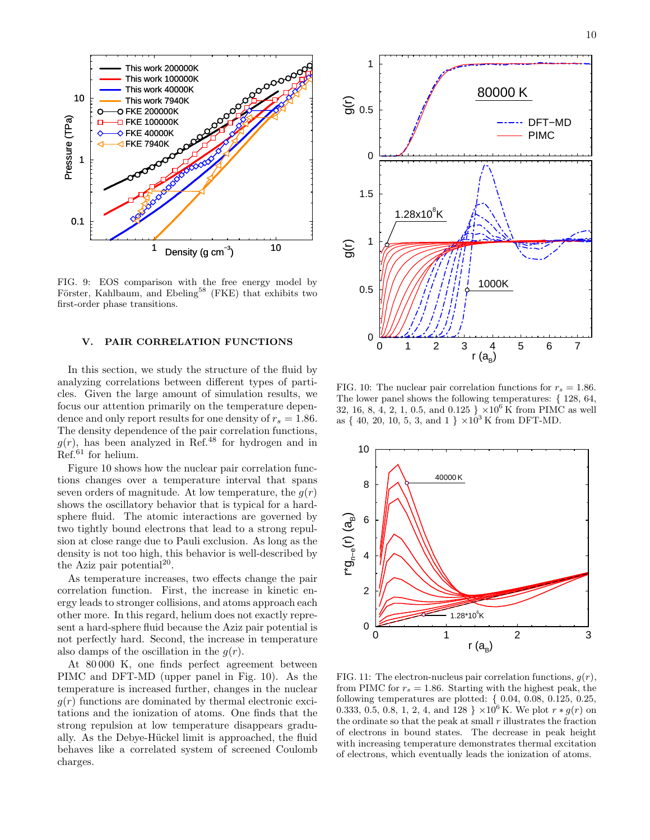

FIG. 9: EOS comparison with the free energy model by Förster, Kahlbaum, and Ebeling<sup>58</sup> (FKE) that exhibits two first-order phase transitions.

## V. PAIR CORRELATION FUNCTIONS

In this section, we study the structure of the fluid by analyzing correlations between different types of particles. Given the large amount of simulation results, we focus our attention primarily on the temperature dependence and only report results for one density of  $r_s = 1.86$ . The density dependence of the pair correlation functions, g(r), has been analyzed in Ref.<sup>48</sup> for hydrogen and in Ref.<sup>61</sup> for helium.

Figure 10 shows how the nuclear pair correlation functions changes over a temperature interval that spans seven orders of magnitude. At low temperature, the  $q(r)$ shows the oscillatory behavior that is typical for a hardsphere fluid. The atomic interactions are governed by two tightly bound electrons that lead to a strong repulsion at close range due to Pauli exclusion. As long as the density is not too high, this behavior is well-described by the Aziz pair potential<sup>20</sup>.

As temperature increases, two effects change the pair correlation function. First, the increase in kinetic energy leads to stronger collisions, and atoms approach each other more. In this regard, helium does not exactly represent a hard-sphere fluid because the Aziz pair potential is not perfectly hard. Second, the increase in temperature also damps of the oscillation in the  $q(r)$ .

At 80 000 K, one finds perfect agreement between PIMC and DFT-MD (upper panel in Fig. 10). As the temperature is increased further, changes in the nuclear  $q(r)$  functions are dominated by thermal electronic excitations and the ionization of atoms. One finds that the strong repulsion at low temperature disappears gradually. As the Debye-Hückel limit is approached, the fluid behaves like a correlated system of screened Coulomb charges.



FIG. 10: The nuclear pair correlation functions for  $r_s = 1.86$ . The lower panel shows the following temperatures: { 128, 64, 32, 16, 8, 4, 2, 1, 0.5, and 0.125  $\frac{1}{2} \times 10^{6}$  K from PIMC as well as { 40, 20, 10, 5, 3, and  $1 \} \times 10^3$  K from DFT-MD.



FIG. 11: The electron-nucleus pair correlation functions,  $g(r)$ , from PIMC for  $r_s = 1.86$ . Starting with the highest peak, the following temperatures are plotted: { 0.04, 0.08, 0.125, 0.25, 0.333, 0.5, 0.8, 1, 2, 4, and 128 }  $\times 10^6$  K. We plot  $r * g(r)$  on the ordinate so that the peak at small  $r$  illustrates the fraction of electrons in bound states. The decrease in peak height with increasing temperature demonstrates thermal excitation of electrons, which eventually leads the ionization of atoms.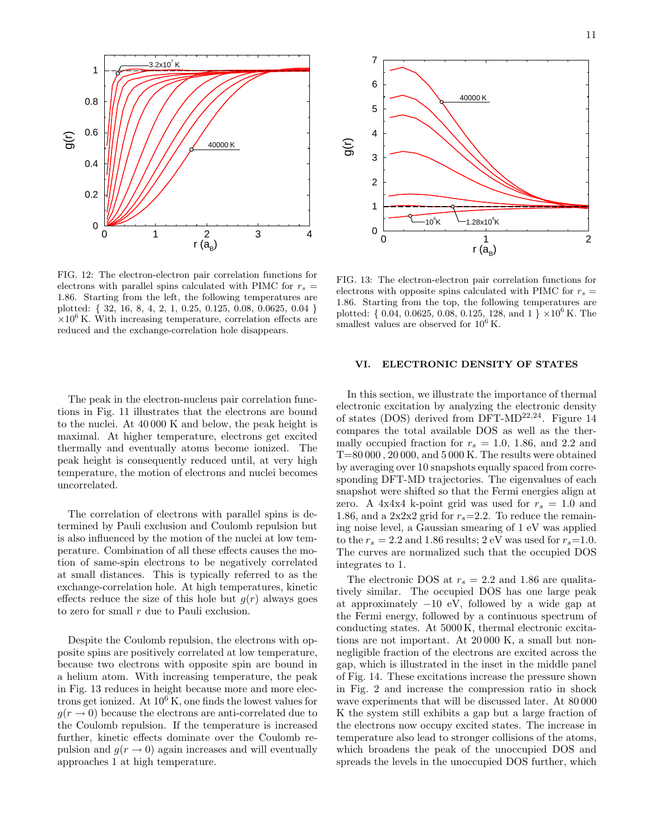

FIG. 12: The electron-electron pair correlation functions for electrons with parallel spins calculated with PIMC for  $r_s =$ 1.86. Starting from the left, the following temperatures are plotted: { 32, 16, 8, 4, 2, 1, 0.25, 0.125, 0.08, 0.0625, 0.04 }  $\times 10^6$  K. With increasing temperature, correlation effects are reduced and the exchange-correlation hole disappears.

The peak in the electron-nucleus pair correlation functions in Fig. 11 illustrates that the electrons are bound to the nuclei. At 40 000 K and below, the peak height is maximal. At higher temperature, electrons get excited thermally and eventually atoms become ionized. The peak height is consequently reduced until, at very high temperature, the motion of electrons and nuclei becomes uncorrelated.

The correlation of electrons with parallel spins is determined by Pauli exclusion and Coulomb repulsion but is also influenced by the motion of the nuclei at low temperature. Combination of all these effects causes the motion of same-spin electrons to be negatively correlated at small distances. This is typically referred to as the exchange-correlation hole. At high temperatures, kinetic effects reduce the size of this hole but  $g(r)$  always goes to zero for small  $r$  due to Pauli exclusion.

Despite the Coulomb repulsion, the electrons with opposite spins are positively correlated at low temperature, because two electrons with opposite spin are bound in a helium atom. With increasing temperature, the peak in Fig. 13 reduces in height because more and more electrons get ionized. At  $10^6$  K, one finds the lowest values for  $g(r \to 0)$  because the electrons are anti-correlated due to the Coulomb repulsion. If the temperature is increased further, kinetic effects dominate over the Coulomb repulsion and  $q(r \to 0)$  again increases and will eventually approaches 1 at high temperature.



FIG. 13: The electron-electron pair correlation functions for electrons with opposite spins calculated with PIMC for  $r_s =$ 1.86. Starting from the top, the following temperatures are plotted: { 0.04, 0.0625, 0.08, 0.125, 128, and  $1 \times 10^6$  K. The smallest values are observed for  $10^6$  K.

#### VI. ELECTRONIC DENSITY OF STATES

In this section, we illustrate the importance of thermal electronic excitation by analyzing the electronic density of states (DOS) derived from DFT-MD<sup>22,24</sup>. Figure 14 compares the total available DOS as well as the thermally occupied fraction for  $r_s = 1.0, 1.86,$  and 2.2 and T=80 000 , 20 000, and 5 000 K. The results were obtained by averaging over 10 snapshots equally spaced from corresponding DFT-MD trajectories. The eigenvalues of each snapshot were shifted so that the Fermi energies align at zero. A 4x4x4 k-point grid was used for  $r_s = 1.0$  and 1.86, and a  $2x2x2$  grid for  $r_s=2.2$ . To reduce the remaining noise level, a Gaussian smearing of 1 eV was applied to the  $r_s = 2.2$  and 1.86 results; 2 eV was used for  $r_s = 1.0$ . The curves are normalized such that the occupied DOS integrates to 1.

The electronic DOS at  $r_s = 2.2$  and 1.86 are qualitatively similar. The occupied DOS has one large peak at approximately  $-10$  eV, followed by a wide gap at the Fermi energy, followed by a continuous spectrum of conducting states. At 5000 K, thermal electronic excitations are not important. At 20 000 K, a small but nonnegligible fraction of the electrons are excited across the gap, which is illustrated in the inset in the middle panel of Fig. 14. These excitations increase the pressure shown in Fig. 2 and increase the compression ratio in shock wave experiments that will be discussed later. At 80 000 K the system still exhibits a gap but a large fraction of the electrons now occupy excited states. The increase in temperature also lead to stronger collisions of the atoms, which broadens the peak of the unoccupied DOS and spreads the levels in the unoccupied DOS further, which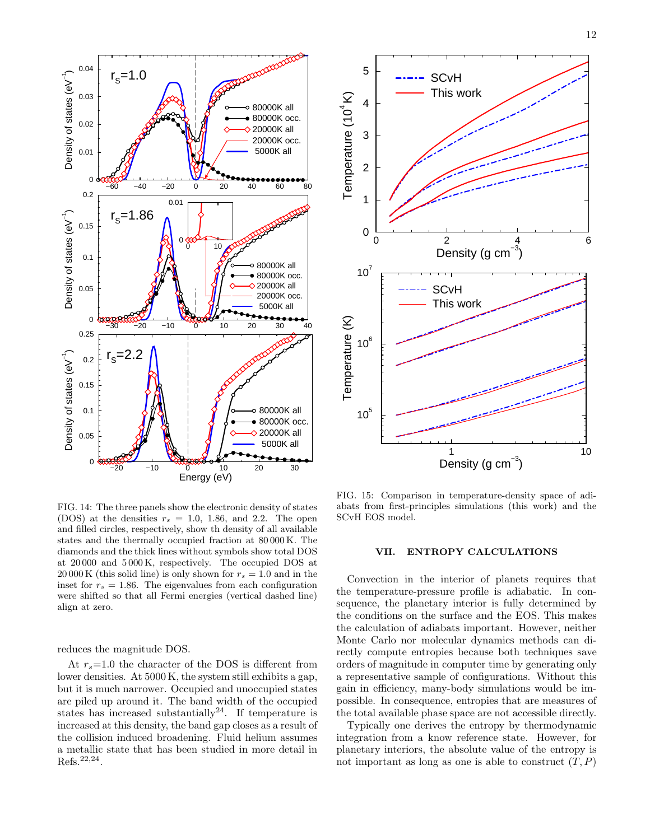

FIG. 14: The three panels show the electronic density of states (DOS) at the densities  $r_s = 1.0, 1.86,$  and 2.2. The open and filled circles, respectively, show th density of all available states and the thermally occupied fraction at 80 000 K. The diamonds and the thick lines without symbols show total DOS at 20 000 and 5 000 K, respectively. The occupied DOS at 20 000 K (this solid line) is only shown for  $r_s = 1.0$  and in the inset for  $r_s = 1.86$ . The eigenvalues from each configuration were shifted so that all Fermi energies (vertical dashed line) align at zero.

reduces the magnitude DOS.

At  $r_s$ =1.0 the character of the DOS is different from lower densities. At 5000 K, the system still exhibits a gap, but it is much narrower. Occupied and unoccupied states are piled up around it. The band width of the occupied states has increased substantially<sup>24</sup>. If temperature is increased at this density, the band gap closes as a result of the collision induced broadening. Fluid helium assumes a metallic state that has been studied in more detail in Refs.22,24 .



FIG. 15: Comparison in temperature-density space of adiabats from first-principles simulations (this work) and the SCvH EOS model.

## VII. ENTROPY CALCULATIONS

Convection in the interior of planets requires that the temperature-pressure profile is adiabatic. In consequence, the planetary interior is fully determined by the conditions on the surface and the EOS. This makes the calculation of adiabats important. However, neither Monte Carlo nor molecular dynamics methods can directly compute entropies because both techniques save orders of magnitude in computer time by generating only a representative sample of configurations. Without this gain in efficiency, many-body simulations would be impossible. In consequence, entropies that are measures of the total available phase space are not accessible directly.

Typically one derives the entropy by thermodynamic integration from a know reference state. However, for planetary interiors, the absolute value of the entropy is not important as long as one is able to construct  $(T, P)$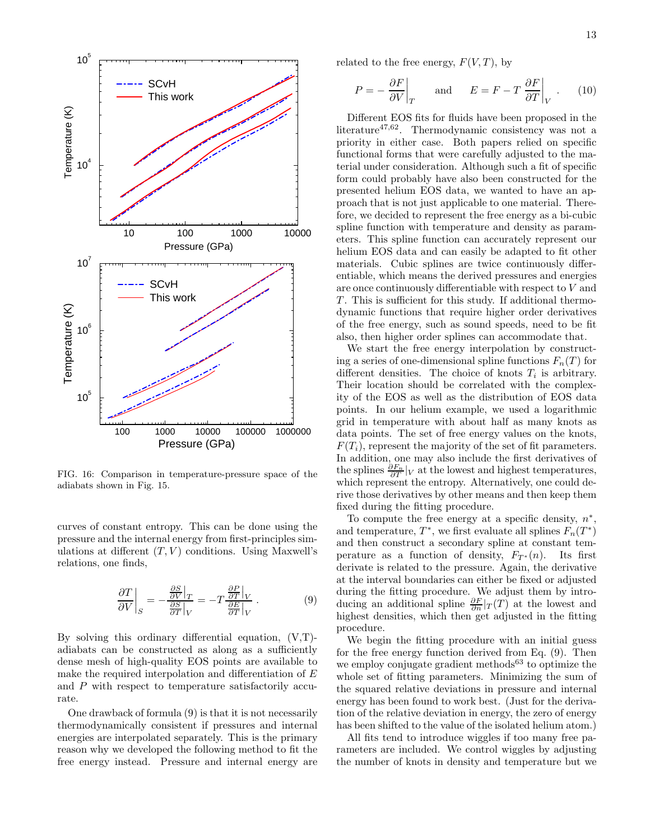

FIG. 16: Comparison in temperature-pressure space of the adiabats shown in Fig. 15.

curves of constant entropy. This can be done using the pressure and the internal energy from first-principles simulations at different  $(T, V)$  conditions. Using Maxwell's relations, one finds,

$$
\left. \frac{\partial T}{\partial V} \right|_{S} = -\frac{\frac{\partial S}{\partial V}|_{T}}{\frac{\partial S}{\partial T}|_{V}} = -T \frac{\frac{\partial P}{\partial T}|_{V}}{\frac{\partial E}{\partial T}|_{V}}.
$$
\n(9)

By solving this ordinary differential equation,  $(V,T)$ adiabats can be constructed as along as a sufficiently dense mesh of high-quality EOS points are available to make the required interpolation and differentiation of E and P with respect to temperature satisfactorily accurate.

One drawback of formula (9) is that it is not necessarily thermodynamically consistent if pressures and internal energies are interpolated separately. This is the primary reason why we developed the following method to fit the free energy instead. Pressure and internal energy are related to the free energy,  $F(V, T)$ , by

$$
P = -\left. \frac{\partial F}{\partial V} \right|_T \quad \text{and} \quad E = F - T \left. \frac{\partial F}{\partial T} \right|_V . \quad (10)
$$

Different EOS fits for fluids have been proposed in the literature47,62. Thermodynamic consistency was not a priority in either case. Both papers relied on specific functional forms that were carefully adjusted to the material under consideration. Although such a fit of specific form could probably have also been constructed for the presented helium EOS data, we wanted to have an approach that is not just applicable to one material. Therefore, we decided to represent the free energy as a bi-cubic spline function with temperature and density as parameters. This spline function can accurately represent our helium EOS data and can easily be adapted to fit other materials. Cubic splines are twice continuously differentiable, which means the derived pressures and energies are once continuously differentiable with respect to V and  $T$ . This is sufficient for this study. If additional thermodynamic functions that require higher order derivatives of the free energy, such as sound speeds, need to be fit also, then higher order splines can accommodate that.

We start the free energy interpolation by constructing a series of one-dimensional spline functions  $F_n(T)$  for different densities. The choice of knots  $T_i$  is arbitrary. Their location should be correlated with the complexity of the EOS as well as the distribution of EOS data points. In our helium example, we used a logarithmic grid in temperature with about half as many knots as data points. The set of free energy values on the knots,  $F(T_i)$ , represent the majority of the set of fit parameters. In addition, one may also include the first derivatives of the splines  $\frac{\partial F_n}{\partial T}|_V$  at the lowest and highest temperatures, which represent the entropy. Alternatively, one could derive those derivatives by other means and then keep them fixed during the fitting procedure.

To compute the free energy at a specific density,  $n^*$ , and temperature,  $T^*$ , we first evaluate all splines  $F_n(T^*)$ and then construct a secondary spline at constant temperature as a function of density,  $F_{T^*}(n)$ . Its first derivate is related to the pressure. Again, the derivative at the interval boundaries can either be fixed or adjusted during the fitting procedure. We adjust them by introducing an additional spline  $\frac{\partial F}{\partial n}|_T(T)$  at the lowest and highest densities, which then get adjusted in the fitting procedure.

We begin the fitting procedure with an initial guess for the free energy function derived from Eq. (9). Then we employ conjugate gradient methods $63$  to optimize the whole set of fitting parameters. Minimizing the sum of the squared relative deviations in pressure and internal energy has been found to work best. (Just for the derivation of the relative deviation in energy, the zero of energy has been shifted to the value of the isolated helium atom.)

All fits tend to introduce wiggles if too many free parameters are included. We control wiggles by adjusting the number of knots in density and temperature but we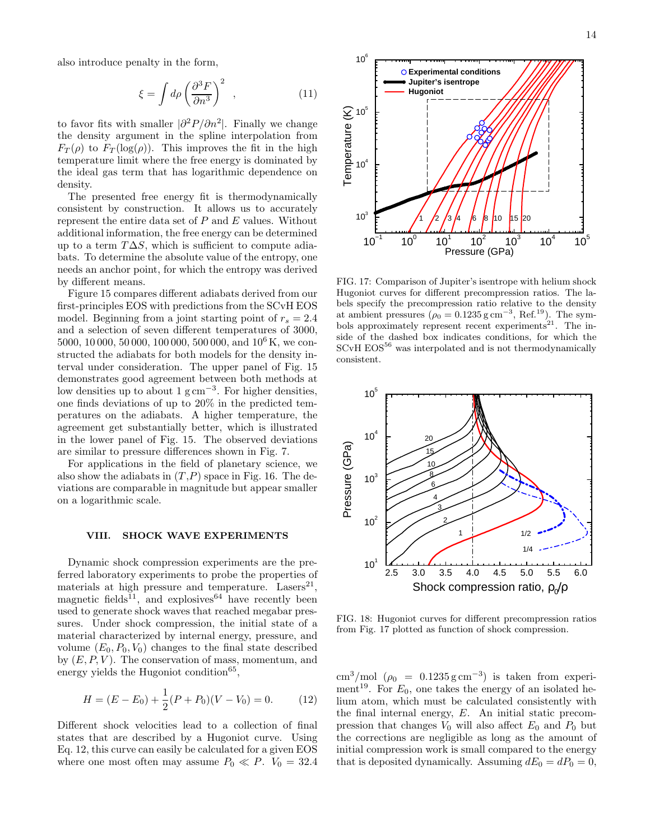also introduce penalty in the form,

$$
\xi = \int d\rho \left(\frac{\partial^3 F}{\partial n^3}\right)^2 \quad , \tag{11}
$$

to favor fits with smaller  $|\partial^2 P/\partial n^2|$ . Finally we change the density argument in the spline interpolation from  $F_T(\rho)$  to  $F_T(\log(\rho))$ . This improves the fit in the high temperature limit where the free energy is dominated by the ideal gas term that has logarithmic dependence on density.

The presented free energy fit is thermodynamically consistent by construction. It allows us to accurately represent the entire data set of  $P$  and  $E$  values. Without additional information, the free energy can be determined up to a term  $T\Delta S$ , which is sufficient to compute adiabats. To determine the absolute value of the entropy, one needs an anchor point, for which the entropy was derived by different means.

Figure 15 compares different adiabats derived from our first-principles EOS with predictions from the SCvH EOS model. Beginning from a joint starting point of  $r_s = 2.4$ and a selection of seven different temperatures of 3000, 5000, 10 000, 50 000, 100 000, 500 000, and  $10^6$  K, we constructed the adiabats for both models for the density interval under consideration. The upper panel of Fig. 15 demonstrates good agreement between both methods at low densities up to about 1 g cm<sup>-3</sup>. For higher densities, one finds deviations of up to 20% in the predicted temperatures on the adiabats. A higher temperature, the agreement get substantially better, which is illustrated in the lower panel of Fig. 15. The observed deviations are similar to pressure differences shown in Fig. 7.

For applications in the field of planetary science, we also show the adiabats in  $(T, P)$  space in Fig. 16. The deviations are comparable in magnitude but appear smaller on a logarithmic scale.

### VIII. SHOCK WAVE EXPERIMENTS

Dynamic shock compression experiments are the preferred laboratory experiments to probe the properties of materials at high pressure and temperature. Lasers<sup>21</sup>, magnetic fields<sup>11</sup>, and explosives<sup>64</sup> have recently been used to generate shock waves that reached megabar pressures. Under shock compression, the initial state of a material characterized by internal energy, pressure, and volume  $(E_0, P_0, V_0)$  changes to the final state described by  $(E, P, V)$ . The conservation of mass, momentum, and energy yields the Hugoniot condition<sup>65</sup>,

$$
H = (E - E_0) + \frac{1}{2}(P + P_0)(V - V_0) = 0.
$$
 (12)

Different shock velocities lead to a collection of final states that are described by a Hugoniot curve. Using Eq. 12, this curve can easily be calculated for a given EOS where one most often may assume  $P_0 \ll P$ .  $V_0 = 32.4$ 



**Experimental conditions**

 $10<sup>6</sup>$ 

Hugoniot curves for different precompression ratios. The labels specify the precompression ratio relative to the density at ambient pressures ( $\rho_0 = 0.1235 \text{ g cm}^{-3}$ , Ref.<sup>19</sup>). The symbols approximately represent recent experiments<sup>21</sup>. The inside of the dashed box indicates conditions, for which the SCvH EOS<sup>56</sup> was interpolated and is not thermodynamically consistent.



FIG. 18: Hugoniot curves for different precompression ratios from Fig. 17 plotted as function of shock compression.

cm<sup>3</sup>/mol ( $\rho_0 = 0.1235 \,\text{g cm}^{-3}$ ) is taken from experiment<sup>19</sup>. For  $E_0$ , one takes the energy of an isolated helium atom, which must be calculated consistently with the final internal energy, E. An initial static precompression that changes  $V_0$  will also affect  $E_0$  and  $P_0$  but the corrections are negligible as long as the amount of initial compression work is small compared to the energy that is deposited dynamically. Assuming  $dE_0 = dP_0 = 0$ ,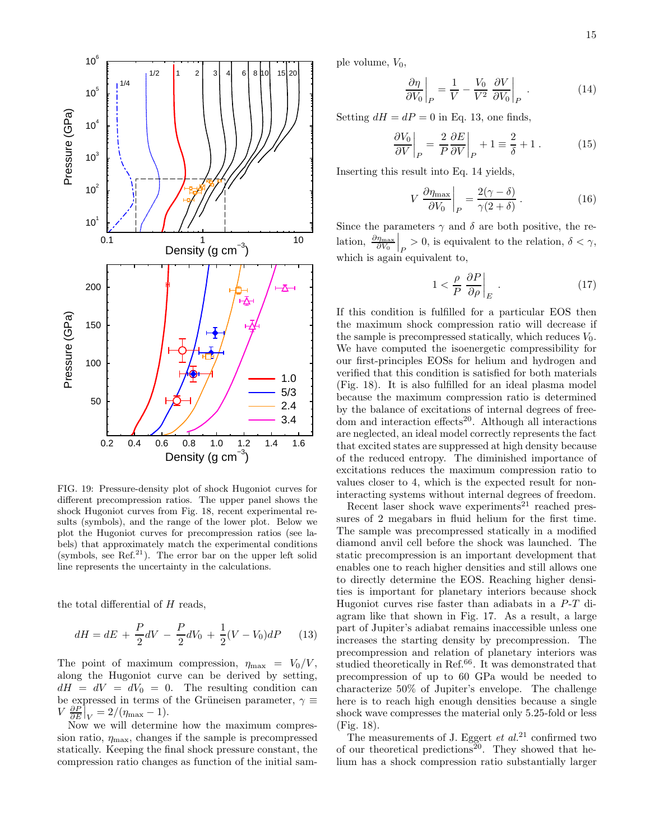

FIG. 19: Pressure-density plot of shock Hugoniot curves for different precompression ratios. The upper panel shows the shock Hugoniot curves from Fig. 18, recent experimental results (symbols), and the range of the lower plot. Below we plot the Hugoniot curves for precompression ratios (see labels) that approximately match the experimental conditions (symbols, see Ref.<sup>21</sup>). The error bar on the upper left solid line represents the uncertainty in the calculations.

the total differential of H reads,

$$
dH = dE + \frac{P}{2}dV - \frac{P}{2}dV_0 + \frac{1}{2}(V - V_0)dP \qquad (13)
$$

The point of maximum compression,  $\eta_{\text{max}} = V_0/V$ , along the Hugoniot curve can be derived by setting,  $dH = dV = dV_0 = 0$ . The resulting condition can be expressed in terms of the Grüneisen parameter,  $\gamma \equiv$  $V \frac{\partial P}{\partial E}\big|_V = 2/(\eta_{\text{max}} - 1).$ 

Now we will determine how the maximum compression ratio,  $\eta_{\text{max}}$ , changes if the sample is precompressed statically. Keeping the final shock pressure constant, the compression ratio changes as function of the initial sample volume,  $V_0$ ,

$$
\left. \frac{\partial \eta}{\partial V_0} \right|_P = \frac{1}{V} - \frac{V_0}{V^2} \left. \frac{\partial V}{\partial V_0} \right|_P \tag{14}
$$

Setting  $dH = dP = 0$  in Eq. 13, one finds,

$$
\left. \frac{\partial V_0}{\partial V} \right|_P = \left. \frac{2}{P} \frac{\partial E}{\partial V} \right|_P + 1 \equiv \frac{2}{\delta} + 1 \,. \tag{15}
$$

Inserting this result into Eq. 14 yields,

$$
V \left. \frac{\partial \eta_{\text{max}}}{\partial V_0} \right|_P = \frac{2(\gamma - \delta)}{\gamma(2 + \delta)} \,. \tag{16}
$$

Since the parameters  $\gamma$  and  $\delta$  are both positive, the relation,  $\frac{\partial \eta_{\text{max}}}{\partial V_0}\Big|_P > 0$ , is equivalent to the relation,  $\delta < \gamma$ , which is again equivalent to,

$$
1 < \frac{\rho}{P} \left. \frac{\partial P}{\partial \rho} \right|_{E} \tag{17}
$$

If this condition is fulfilled for a particular EOS then the maximum shock compression ratio will decrease if the sample is precompressed statically, which reduces  $V_0$ . We have computed the isoenergetic compressibility for our first-principles EOSs for helium and hydrogen and verified that this condition is satisfied for both materials (Fig. 18). It is also fulfilled for an ideal plasma model because the maximum compression ratio is determined by the balance of excitations of internal degrees of freedom and interaction effects<sup>20</sup>. Although all interactions are neglected, an ideal model correctly represents the fact that excited states are suppressed at high density because of the reduced entropy. The diminished importance of excitations reduces the maximum compression ratio to values closer to 4, which is the expected result for noninteracting systems without internal degrees of freedom.

Recent laser shock wave experiments<sup>21</sup> reached pressures of 2 megabars in fluid helium for the first time. The sample was precompressed statically in a modified diamond anvil cell before the shock was launched. The static precompression is an important development that enables one to reach higher densities and still allows one to directly determine the EOS. Reaching higher densities is important for planetary interiors because shock Hugoniot curves rise faster than adiabats in a P-T diagram like that shown in Fig. 17. As a result, a large part of Jupiter's adiabat remains inaccessible unless one increases the starting density by precompression. The precompression and relation of planetary interiors was studied theoretically in Ref.<sup>66</sup>. It was demonstrated that precompression of up to 60 GPa would be needed to characterize 50% of Jupiter's envelope. The challenge here is to reach high enough densities because a single shock wave compresses the material only 5.25-fold or less (Fig. 18).

The measurements of J. Eggert  $et$   $al.^{21}$  confirmed two of our theoretical predictions<sup>20</sup>. They showed that helium has a shock compression ratio substantially larger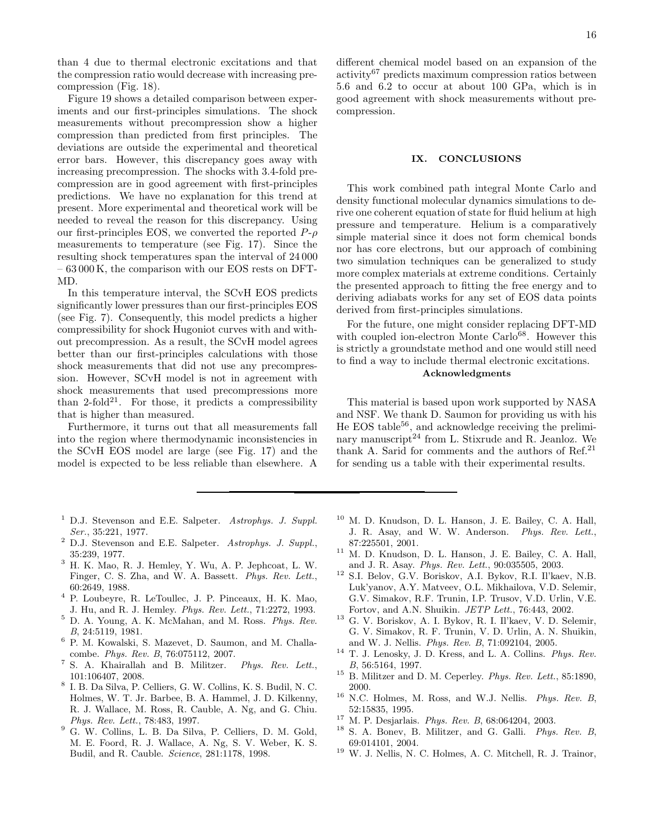than 4 due to thermal electronic excitations and that the compression ratio would decrease with increasing precompression (Fig. 18).

Figure 19 shows a detailed comparison between experiments and our first-principles simulations. The shock measurements without precompression show a higher compression than predicted from first principles. The deviations are outside the experimental and theoretical error bars. However, this discrepancy goes away with increasing precompression. The shocks with 3.4-fold precompression are in good agreement with first-principles predictions. We have no explanation for this trend at present. More experimental and theoretical work will be needed to reveal the reason for this discrepancy. Using our first-principles EOS, we converted the reported  $P-\rho$ measurements to temperature (see Fig. 17). Since the resulting shock temperatures span the interval of 24 000 – 63 000 K, the comparison with our EOS rests on DFT-MD.

In this temperature interval, the SCvH EOS predicts significantly lower pressures than our first-principles EOS (see Fig. 7). Consequently, this model predicts a higher compressibility for shock Hugoniot curves with and without precompression. As a result, the SCvH model agrees better than our first-principles calculations with those shock measurements that did not use any precompression. However, SCvH model is not in agreement with shock measurements that used precompressions more than  $2$ -fold<sup>21</sup>. For those, it predicts a compressibility that is higher than measured.

Furthermore, it turns out that all measurements fall into the region where thermodynamic inconsistencies in the SCvH EOS model are large (see Fig. 17) and the model is expected to be less reliable than elsewhere. A

- $1$  D.J. Stevenson and E.E. Salpeter. Astrophys. J. Suppl. Ser., 35:221, 1977.
- <sup>2</sup> D.J. Stevenson and E.E. Salpeter. Astrophys. J. Suppl., 35:239, 1977.
- <sup>3</sup> H. K. Mao, R. J. Hemley, Y. Wu, A. P. Jephcoat, L. W. Finger, C. S. Zha, and W. A. Bassett. *Phys. Rev. Lett.*, 60:2649, 1988.
- <sup>4</sup> P. Loubeyre, R. LeToullec, J. P. Pinceaux, H. K. Mao, J. Hu, and R. J. Hemley. Phys. Rev. Lett., 71:2272, 1993.
- <sup>5</sup> D. A. Young, A. K. McMahan, and M. Ross. Phys. Rev. B, 24:5119, 1981.
- <sup>6</sup> P. M. Kowalski, S. Mazevet, D. Saumon, and M. Challacombe. Phys. Rev. B, 76:075112, 2007.
- <sup>7</sup> S. A. Khairallah and B. Militzer. Phys. Rev. Lett., 101:106407, 2008.
- 8 I. B. Da Silva, P. Celliers, G. W. Collins, K. S. Budil, N. C. Holmes, W. T. Jr. Barbee, B. A. Hammel, J. D. Kilkenny, R. J. Wallace, M. Ross, R. Cauble, A. Ng, and G. Chiu. Phys. Rev. Lett., 78:483, 1997.
- <sup>9</sup> G. W. Collins, L. B. Da Silva, P. Celliers, D. M. Gold, M. E. Foord, R. J. Wallace, A. Ng, S. V. Weber, K. S. Budil, and R. Cauble. Science, 281:1178, 1998.

different chemical model based on an expansion of the activity<sup>67</sup> predicts maximum compression ratios between 5.6 and 6.2 to occur at about 100 GPa, which is in good agreement with shock measurements without pre-

#### IX. CONCLUSIONS

compression.

This work combined path integral Monte Carlo and density functional molecular dynamics simulations to derive one coherent equation of state for fluid helium at high pressure and temperature. Helium is a comparatively simple material since it does not form chemical bonds nor has core electrons, but our approach of combining two simulation techniques can be generalized to study more complex materials at extreme conditions. Certainly the presented approach to fitting the free energy and to deriving adiabats works for any set of EOS data points derived from first-principles simulations.

For the future, one might consider replacing DFT-MD with coupled ion-electron Monte Carlo<sup>68</sup>. However this is strictly a groundstate method and one would still need to find a way to include thermal electronic excitations.

# Acknowledgments

This material is based upon work supported by NASA and NSF. We thank D. Saumon for providing us with his He EOS table $56$ , and acknowledge receiving the preliminary manuscript<sup>24</sup> from L. Stixrude and R. Jeanloz. We thank A. Sarid for comments and the authors of Ref.<sup>21</sup> for sending us a table with their experimental results.

- <sup>10</sup> M. D. Knudson, D. L. Hanson, J. E. Bailey, C. A. Hall, J. R. Asay, and W. W. Anderson. Phys. Rev. Lett., 87:225501, 2001.
- <sup>11</sup> M. D. Knudson, D. L. Hanson, J. E. Bailey, C. A. Hall, and J. R. Asay. Phys. Rev. Lett., 90:035505, 2003.
- <sup>12</sup> S.I. Belov, G.V. Boriskov, A.I. Bykov, R.I. Il'kaev, N.B. Luk'yanov, A.Y. Matveev, O.L. Mikhailova, V.D. Selemir, G.V. Simakov, R.F. Trunin, I.P. Trusov, V.D. Urlin, V.E. Fortov, and A.N. Shuikin. JETP Lett., 76:443, 2002.
- <sup>13</sup> G. V. Boriskov, A. I. Bykov, R. I. Il'kaev, V. D. Selemir, G. V. Simakov, R. F. Trunin, V. D. Urlin, A. N. Shuikin, and W. J. Nellis. Phys. Rev. B, 71:092104, 2005.
- $^{14}$  T. J. Lenosky, J. D. Kress, and L. A. Collins.  $\emph{Phys. Rev.}$ B, 56:5164, 1997.
- $^{15}\,$  B. Militzer and D. M. Ceperley.  $Phys.$   $Re v.$   $Let t.,$   $85:1890,$ 2000.
- <sup>16</sup> N.C. Holmes, M. Ross, and W.J. Nellis. Phys. Rev. B, 52:15835, 1995.
- $17$  M. P. Desjarlais. *Phys. Rev. B*, 68:064204, 2003.
- <sup>18</sup> S. A. Bonev, B. Militzer, and G. Galli. Phys. Rev. B, 69:014101, 2004.
- <sup>19</sup> W. J. Nellis, N. C. Holmes, A. C. Mitchell, R. J. Trainor,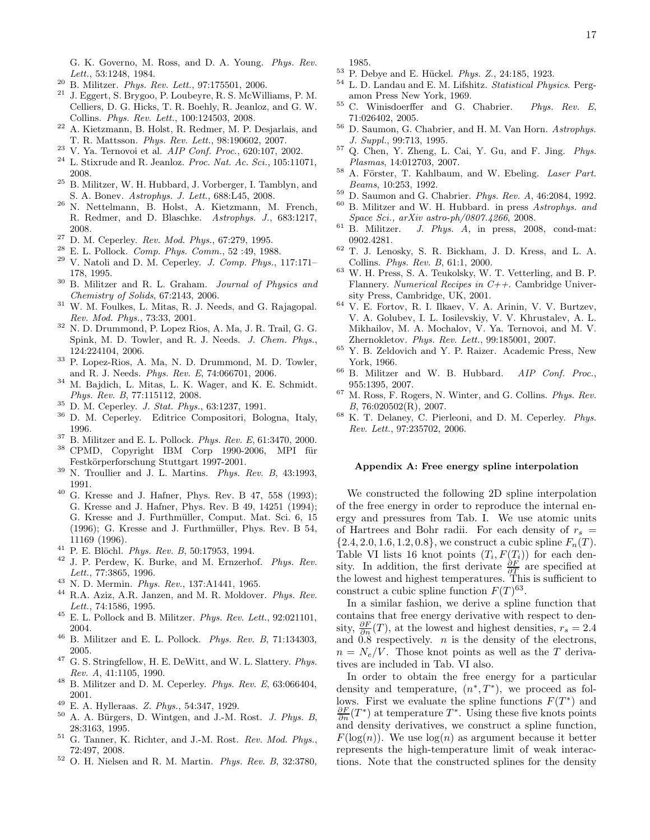17

G. K. Governo, M. Ross, and D. A. Young. Phys. Rev. Lett., 53:1248, 1984.

- <sup>20</sup> B. Militzer. Phys. Rev. Lett., 97:175501, 2006.
- $21$  J. Eggert, S. Brygoo, P. Loubeyre, R. S. McWilliams, P. M. Celliers, D. G. Hicks, T. R. Boehly, R. Jeanloz, and G. W. Collins. Phys. Rev. Lett., 100:124503, 2008.
- <sup>22</sup> A. Kietzmann, B. Holst, R. Redmer, M. P. Desjarlais, and T. R. Mattsson. Phys. Rev. Lett., 98:190602, 2007.
- <sup>23</sup> V. Ya. Ternovoi et al. AIP Conf. Proc., 620:107, 2002.
- $^{24}$  L. Stixrude and R. Jeanloz. *Proc. Nat. Ac. Sci.*, 105:11071, 2008.
- $^{25}\,$  B. Militzer, W. H. Hubbard, J. Vorberger, I. Tamblyn, and S. A. Bonev. Astrophys. J. Lett., 688:L45, 2008.
- <sup>26</sup> N. Nettelmann, B. Holst, A. Kietzmann, M. French, R. Redmer, and D. Blaschke. Astrophys. J., 683:1217, 2008.
- <sup>27</sup> D. M. Ceperley. Rev. Mod. Phys., 67:279, 1995.
- <sup>28</sup> E. L. Pollock. Comp. Phys. Comm., 52 :49, 1988.
- V. Natoli and D. M. Ceperley. J. Comp. Phys., 117:171-178, 1995.
- <sup>30</sup> B. Militzer and R. L. Graham. Journal of Physics and Chemistry of Solids, 67:2143, 2006.
- $31$  W. M. Foulkes, L. Mitas, R. J. Needs, and G. Rajagopal. Rev. Mod. Phys., 73:33, 2001.
- <sup>32</sup> N. D. Drummond, P. Lopez Rios, A. Ma, J. R. Trail, G. G. Spink, M. D. Towler, and R. J. Needs. J. Chem. Phys., 124:224104, 2006.
- <sup>33</sup> P. Lopez-Rios, A. Ma, N. D. Drummond, M. D. Towler, and R. J. Needs. Phys. Rev. E, 74:066701, 2006.
- <sup>34</sup> M. Bajdich, L. Mitas, L. K. Wager, and K. E. Schmidt. Phys. Rev. B, 77:115112, 2008.
- $\frac{35}{10}$  D. M. Ceperley. *J. Stat. Phys.*, 63:1237, 1991.
- <sup>36</sup> D. M. Ceperley. Editrice Compositori, Bologna, Italy, 1996.
- <sup>37</sup> B. Militzer and E. L. Pollock. *Phys. Rev. E*, 61:3470, 2000.<br><sup>38</sup> CDMD. Consultation IDM. Computer 1000, 2006. ADM.  $\mathcal{C}_{\text{in}}$
- CPMD, Copyright IBM Corp 1990-2006, MPI für Festkörperforschung Stuttgart 1997-2001.
- $39$  N. Troullier and J. L. Martins. *Phys. Rev. B*, 43:1993, 1991.
- <sup>40</sup> G. Kresse and J. Hafner, Phys. Rev. B 47, 558 (1993); G. Kresse and J. Hafner, Phys. Rev. B 49, 14251 (1994); G. Kresse and J. Furthmüller, Comput. Mat. Sci. 6, 15  $(1996)$ ; G. Kresse and J. Furthmüller, Phys. Rev. B 54, 11169 (1996).
- <sup>41</sup> P. E. Blöchl. *Phys. Rev. B*, 50:17953, 1994.
- J. P. Perdew, K. Burke, and M. Ernzerhof. Phys. Rev. Lett., 77:3865, 1996.
- <sup>43</sup> N. D. Mermin. Phys. Rev., 137:A1441, 1965.
- <sup>44</sup> R.A. Aziz, A.R. Janzen, and M. R. Moldover. Phys. Rev. Lett., 74:1586, 1995.
- $45$  E. L. Pollock and B. Militzer. Phys. Rev. Lett., 92:021101, 2004.
- $46$  B. Militzer and E. L. Pollock. *Phys. Rev. B*, 71:134303, 2005.
- $47$  G. S. Stringfellow, H. E. DeWitt, and W. L. Slattery. Phys. Rev. A, 41:1105, 1990.
- $^{48}$  B. Militzer and D. M. Ceperley. Phys. Rev. E, 63:066404, 2001.
- <sup>49</sup> E. A. Hylleraas. *Z. Phys.*, 54:347, 1929.
- A. A. Bürgers, D. Wintgen, and J.-M. Rost. J. Phys. B, 28:3163, 1995.
- <sup>51</sup> G. Tanner, K. Richter, and J.-M. Rost. Rev. Mod. Phys., 72:497, 2008.
- <sup>52</sup> O. H. Nielsen and R. M. Martin. Phys. Rev. B, 32:3780,

1985.

- <sup>53</sup> P. Debye and E. Hückel. *Phys. Z.*, 24:185, 1923.<br><sup>54</sup> L. D. Landau and E. M. Lifebitz, *Statistical Phys*
- L. D. Landau and E. M. Lifshitz. Statistical Physics. Pergamon Press New York, 1969.
- $55$  C. Winisdoerffer and G. Chabrier. Phys. Rev. E, 71:026402, 2005.
- <sup>56</sup> D. Saumon, G. Chabrier, and H. M. Van Horn. Astrophys. J. Suppl., 99:713, 1995.
- <sup>57</sup> Q. Chen, Y. Zheng, L. Cai, Y. Gu, and F. Jing. Phys. Plasmas, 14:012703, 2007.
- <sup>58</sup> A. Förster, T. Kahlbaum, and W. Ebeling. Laser Part. Beams, 10:253, 1992.
- <sup>59</sup> D. Saumon and G. Chabrier. Phys. Rev. A, 46:2084, 1992.
- <sup>60</sup> B. Militzer and W. H. Hubbard. in press Astrophys. and Space Sci., arXiv astro-ph/0807.4266, 2008.
- $61$  B. Militzer. J. Phys. A, in press, 2008, cond-mat: 0902.4281.
- <sup>62</sup> T. J. Lenosky, S. R. Bickham, J. D. Kress, and L. A. Collins. Phys. Rev. B, 61:1, 2000.
- <sup>63</sup> W. H. Press, S. A. Teukolsky, W. T. Vetterling, and B. P. Flannery. Numerical Recipes in  $C++$ . Cambridge University Press, Cambridge, UK, 2001.
- $64$  V. E. Fortov, R. I. Ilkaev, V. A. Arinin, V. V. Burtzev, V. A. Golubev, I. L. Iosilevskiy, V. V. Khrustalev, A. L. Mikhailov, M. A. Mochalov, V. Ya. Ternovoi, and M. V. Zhernokletov. Phys. Rev. Lett., 99:185001, 2007.
- <sup>65</sup> Y. B. Zeldovich and Y. P. Raizer. Academic Press, New York, 1966.
- $66$  B. Militzer and W. B. Hubbard. AIP Conf. Proc., 955:1395, 2007.
- $67$  M. Ross, F. Rogers, N. Winter, and G. Collins. Phys. Rev. B, 76:020502(R), 2007.
- <sup>68</sup> K. T. Delaney, C. Pierleoni, and D. M. Ceperley. Phys. Rev. Lett., 97:235702, 2006.

#### Appendix A: Free energy spline interpolation

We constructed the following 2D spline interpolation of the free energy in order to reproduce the internal energy and pressures from Tab. I. We use atomic units of Hartrees and Bohr radii. For each density of  $r_s$  =  $\{2.4, 2.0, 1.6, 1.2, 0.8\}$ , we construct a cubic spline  $F_n(T)$ . Table VI lists 16 knot points  $(T_i, F(T_i))$  for each density. In addition, the first derivate  $\frac{\partial F}{\partial T}$  are specified at the lowest and highest temperatures. This is sufficient to construct a cubic spline function  $F(T)^{63}$ .

In a similar fashion, we derive a spline function that contains that free energy derivative with respect to density,  $\frac{\partial F}{\partial n}(T)$ , at the lowest and highest densities,  $r_s = 2.4$ and  $0.8$  respectively. *n* is the density of the electrons,  $n = N_e/V$ . Those knot points as well as the T derivatives are included in Tab. VI also.

In order to obtain the free energy for a particular density and temperature,  $(n^*,T^*)$ , we proceed as follows. First we evaluate the spline functions  $F(T^*)$  and  $\frac{\partial F}{\partial n}(T^*)$  at temperature  $T^*$ . Using these five knots points and density derivatives, we construct a spline function,  $F(\log(n))$ . We use  $\log(n)$  as argument because it better represents the high-temperature limit of weak interactions. Note that the constructed splines for the density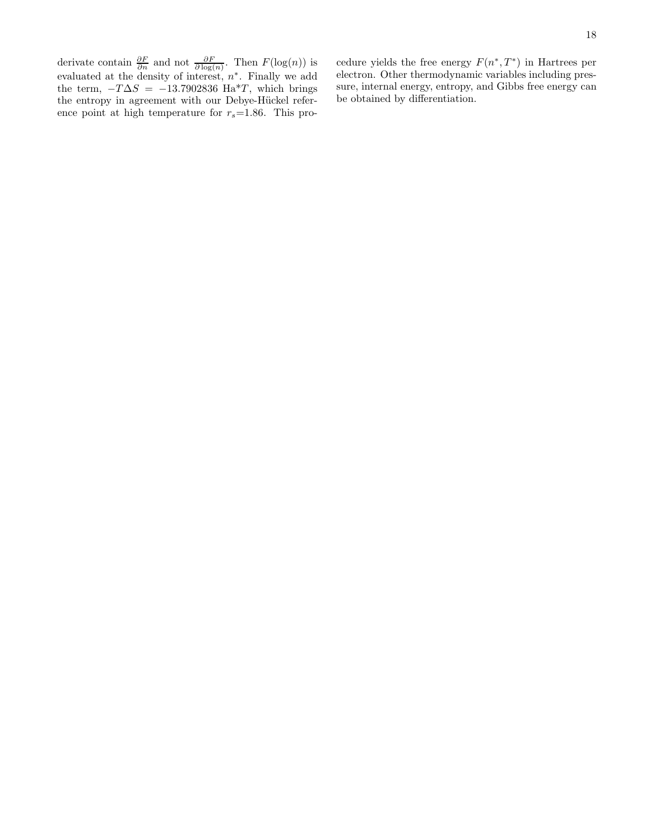derivate contain  $\frac{\partial F}{\partial n}$  and not  $\frac{\partial F}{\partial \log(n)}$ . Then  $F(\log(n))$  is evaluated at the density of interest,  $n^*$ . Finally we add the term,  $-T\Delta S = -13.7902836$  Ha\*T, which brings the entropy in agreement with our Debye-Hückel reference point at high temperature for  $r_s=1.86$ . This pro-

cedure yields the free energy  $F(n^*,T^*)$  in Hartrees per electron. Other thermodynamic variables including pressure, internal energy, entropy, and Gibbs free energy can be obtained by differentiation.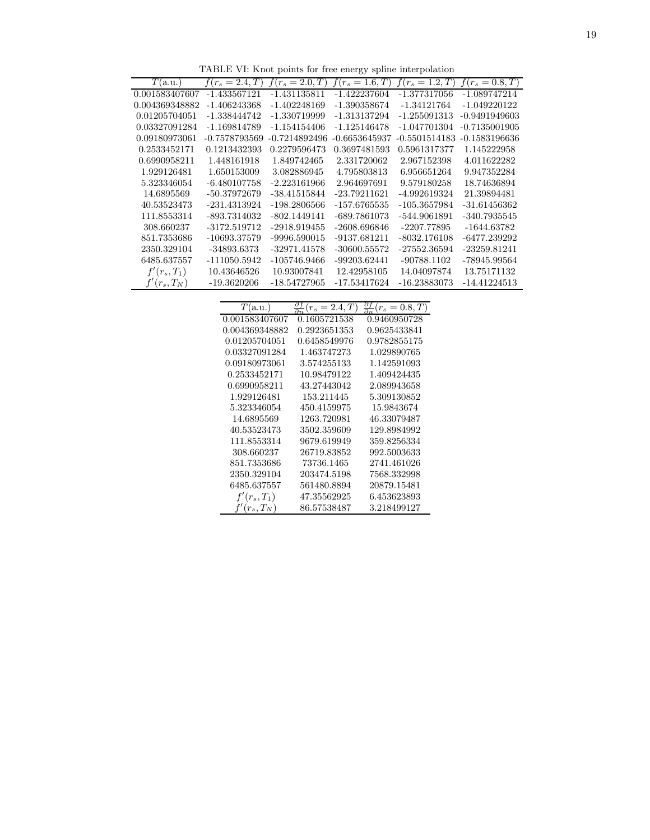TABLE VI: Knot points for free energy spline interpolation

| T(a.u.)        | $f(r_s = 2.4, T)$ | $f(r_s = 2.0, T)$ | $f(r_s = 1.6, T)$ | $f(r_s = 1.2, T)$ | $f(r_s = 0.8, T)$ |
|----------------|-------------------|-------------------|-------------------|-------------------|-------------------|
| 0.001583407607 | $-1.433567121$    | -1.431135811      | -1.422237604      | -1.377317056      | -1.089747214      |
| 0.004369348882 | -1.406243368      | $-1.402248169$    | -1.390358674      | -1.34121764       | -1.049220122      |
| 0.01205704051  | -1.338444742      | -1.330719999      | -1.313137294      | $-1.255091313$    | -0.9491949603     |
| 0.03327091284  | -1.169814789      | -1.154154406      | $-1.125146478$    | $-1.047701304$    | -0.7135001905     |
| 0.09180973061  | -0.7578793569     | $-0.7214892496$   | -0.6653645937     | $-0.5501514183$   | $-0.1583196636$   |
| 0.2533452171   | 0.1213432393      | 0.2279596473      | 0.3697481593      | 0.5961317377      | 1.145222958       |
| 0.6990958211   | 1.448161918       | 1.849742465       | 2.331720062       | 2.967152398       | 4.011622282       |
| 1.929126481    | 1.650153009       | 3.082886945       | 4.795803813       | 6.956651264       | 9.947352284       |
| 5.323346054    | $-6.480107758$    | $-2.223161966$    | 2.964697691       | 9.579180258       | 18.74636894       |
| 14.6895569     | -50.37972679      | $-38.41515844$    | $-23.79211621$    | -4.992619324      | 21.39894481       |
| 40.53523473    | $-231.4313924$    | $-198.2806566$    | -157.6765535      | $-105.3657984$    | $-31.61456362$    |
| 111.8553314    | -893.7314032      | $-802.1449141$    | -689.7861073      | -544.9061891      | -340.7935545      |
| 308.660237     | $-3172.519712$    | -2918.919455      | $-2608.696846$    | $-2207.77895$     | $-1644.63782$     |
| 851.7353686    | -10693.37579      | -9996.590015      | -9137.681211      | $-8032.176108$    | -6477.239292      |
| 2350.329104    | -34893.6373       | $-32971.41578$    | $-30600.55572$    | $-27552.36594$    | $-23259.81241$    |
| 6485.637557    | -111050.5942      | $-105746.9466$    | -99203.62441      | -90788.1102       | -78945.99564      |
| $f'(r_s,T_1)$  | 10.43646526       | 10.93007841       | 12.42958105       | 14.04097874       | 13.75171132       |
| $f'(r_s,T_N)$  | $-19.3620206$     | -18.54727965      | -17.53417624      | -16.23883073      | $-14.41224513$    |

| T(a.u.)        | $(r_s = 2.4, T)$ | $\frac{\partial f}{\partial n}$<br>$(r_s = 0.8, T)$ |
|----------------|------------------|-----------------------------------------------------|
| 0.001583407607 | 0.1605721538     | 0.9460950728                                        |
| 0.004369348882 | 0.2923651353     | 0.9625433841                                        |
| 0.01205704051  | 0.6458549976     | 0.9782855175                                        |
| 0.03327091284  | 1.463747273      | 1.029890765                                         |
| 0.09180973061  | 3.574255133      | 1.142591093                                         |
| 0.2533452171   | 10.98479122      | 1.409424435                                         |
| 0.6990958211   | 43.27443042      | 2.089943658                                         |
| 1.929126481    | 153.211445       | 5.309130852                                         |
| 5.323346054    | 450.4159975      | 15.9843674                                          |
| 14.6895569     | 1263.720981      | 46.33079487                                         |
| 40.53523473    | 3502.359609      | 129.8984992                                         |
| 111.8553314    | 9679.619949      | 359.8256334                                         |
| 308.660237     | 26719.83852      | 992.5003633                                         |
| 851.7353686    | 73736.1465       | 2741.461026                                         |
| 2350.329104    | 203474.5198      | 7568.332998                                         |
| 6485.637557    | 561480.8894      | 20879.15481                                         |
| $f'(r_s,T_1)$  | 47.35562925      | 6.453623893                                         |
| $f'(r_s,T_N)$  | 86.57538487      | 3.218499127                                         |